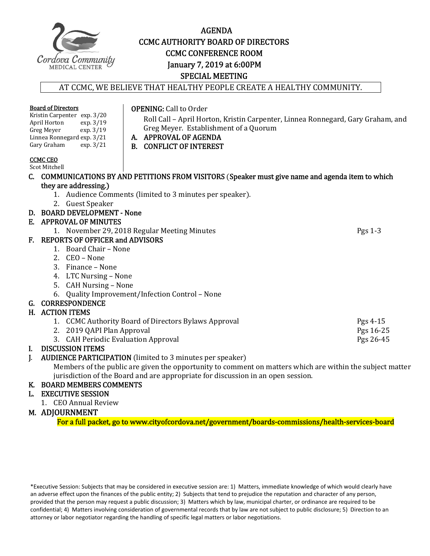

# AGENDA **CCMC AUTHORITY BOARD OF DIRECTORS CCMC CONFERENCE ROOM** January 7, 2019 at 6:00PM SPECIAL MEETING

#### AT CCMC, WE BELIEVE THAT HEALTHY PEOPLE CREATE A HEALTHY COMMUNITY.

| <b>Board of Directors</b>   |                                                        |  | <b>OPENING: Call to Order</b>                                                                             |           |  |
|-----------------------------|--------------------------------------------------------|--|-----------------------------------------------------------------------------------------------------------|-----------|--|
| Kristin Carpenter exp. 3/20 |                                                        |  | Roll Call - April Horton, Kristin Carpenter, Linnea Ronnegard, Gary Graham, and                           |           |  |
|                             | April Horton<br>exp. 3/19                              |  | Greg Meyer. Establishment of a Quorum                                                                     |           |  |
|                             | Greg Meyer<br>exp. 3/19                                |  | A. APPROVAL OF AGENDA                                                                                     |           |  |
|                             | Linnea Ronnegard exp. 3/21<br>Gary Graham<br>exp. 3/21 |  |                                                                                                           |           |  |
|                             |                                                        |  | <b>B. CONFLICT OF INTEREST</b>                                                                            |           |  |
|                             | <b>CCMC CEO</b>                                        |  |                                                                                                           |           |  |
|                             | Scot Mitchell                                          |  |                                                                                                           |           |  |
|                             |                                                        |  | C. COMMUNICATIONS BY AND PETITIONS FROM VISITORS (Speaker must give name and agenda item to which         |           |  |
|                             | they are addressing.)                                  |  |                                                                                                           |           |  |
|                             |                                                        |  | 1. Audience Comments (limited to 3 minutes per speaker).                                                  |           |  |
|                             | 2. Guest Speaker                                       |  |                                                                                                           |           |  |
|                             | D. BOARD DEVELOPMENT - None                            |  |                                                                                                           |           |  |
|                             | E. APPROVAL OF MINUTES                                 |  |                                                                                                           |           |  |
|                             |                                                        |  | 1. November 29, 2018 Regular Meeting Minutes                                                              | Pgs 1-3   |  |
| F.                          | <b>REPORTS OF OFFICER and ADVISORS</b>                 |  |                                                                                                           |           |  |
|                             | 1. Board Chair - None                                  |  |                                                                                                           |           |  |
|                             | 2. CEO – None                                          |  |                                                                                                           |           |  |
|                             | 3. Finance – None                                      |  |                                                                                                           |           |  |
|                             | 4. LTC Nursing - None                                  |  |                                                                                                           |           |  |
|                             | 5. CAH Nursing - None                                  |  |                                                                                                           |           |  |
|                             | 6.                                                     |  | Quality Improvement/Infection Control - None                                                              |           |  |
| G.                          | <b>CORRESPONDENCE</b>                                  |  |                                                                                                           |           |  |
| Н.                          | <b>ACTION ITEMS</b>                                    |  |                                                                                                           |           |  |
|                             |                                                        |  | 1. CCMC Authority Board of Directors Bylaws Approval                                                      | Pgs 4-15  |  |
|                             | 2019 QAPI Plan Approval<br>2.                          |  |                                                                                                           | Pgs 16-25 |  |
|                             | 3. CAH Periodic Evaluation Approval                    |  |                                                                                                           | Pgs 26-45 |  |
| L.                          | <b>DISCUSSION ITEMS</b>                                |  |                                                                                                           |           |  |
| J.                          |                                                        |  | <b>AUDIENCE PARTICIPATION</b> (limited to 3 minutes per speaker)                                          |           |  |
|                             |                                                        |  | Members of the public are given the opportunity to comment on matters which are within the subject matter |           |  |
|                             |                                                        |  |                                                                                                           |           |  |

jurisdiction of the Board and are appropriate for discussion in an open session.  $\,$ 

# K. BOARD MEMBERS COMMENTS

# L. EXECUTIVE SESSION

1. CEO Annual Review

# M. ADJOURNMENT

For a full packet, go to www.cityofcordova.net/government/boards-commissions/health-services-board

\*Executive Session: Subjects that may be considered in executive session are: 1) Matters, immediate knowledge of which would clearly have an adverse effect upon the finances of the public entity; 2) Subjects that tend to prejudice the reputation and character of any person, provided that the person may request a public discussion; 3) Matters which by law, municipal charter, or ordinance are required to be confidential; 4) Matters involving consideration of governmental records that by law are not subject to public disclosure; 5) Direction to an attorney or labor negotiator regarding the handling of specific legal matters or labor negotiations.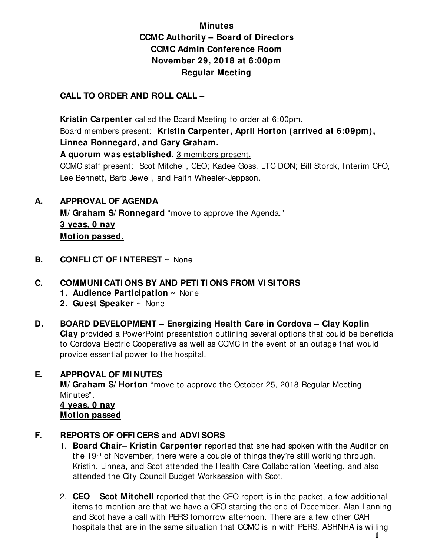# **Minutes CCMC Authority – Board of Directors CCMC Admin Conference Room November 29, 2018 at 6:00pm Regular Meeting**

# **CALL TO ORDER AND ROLL CALL –**

 **Kristin Carpenter** called the Board Meeting to order at 6:00pm. Board members present: **Kristin Carpenter, April Horton (arrived at 6:09pm), Linnea Ronnegard, and Gary Graham.** 

**A quorum was established.** 3 members present.

CCMC staff present: Scot Mitchell, CEO; Kadee Goss, LTC DON; Bill Storck, Interim CFO, Lee Bennett, Barb Jewell, and Faith Wheeler-Jeppson.

**A. APPROVAL OF AGENDA** 

 **M/ Graham S/ Ronnegard** "move to approve the Agenda." **3 yeas, 0 nay Motion passed.** 

**B. CONFLI CT OF I NTEREST**  $\sim$  None

# **C. COMMUNI CATI ONS BY AND PETI TI ONS FROM VI SI TORS**

- **1. Audience Participation** ~ None
- **2. Guest Speaker** ~ None
- **D. BOARD DEVELOPMENT Energizing Health Care in Cordova Clay Koplin Clay** provided a PowerPoint presentation outlining several options that could be beneficial to Cordova Electric Cooperative as well as CCMC in the event of an outage that would provide essential power to the hospital.

# **E. APPROVAL OF MI NUTES**

**M/ Graham S/ Horton** "move to approve the October 25, 2018 Regular Meeting Minutes".

 **4 yeas, 0 nay Motion passed**

# **F. REPORTS OF OFFI CERS and ADVI SORS**

- 1. **Board Chair Kristin Carpenter** reported that she had spoken with the Auditor on the 19<sup>th</sup> of November, there were a couple of things they're still working through. Kristin, Linnea, and Scot attended the Health Care Collaboration Meeting, and also attended the City Council Budget Worksession with Scot.
- 2. **CEO Scot Mitchell** reported that the CEO report is in the packet, a few additional items to mention are that we have a CFO starting the end of December. Alan Lanning and Scot have a call with PERS tomorrow afternoon. There are a few other CAH hospitals that are in the same situation that CCMC is in with PERS. ASHNHA is willing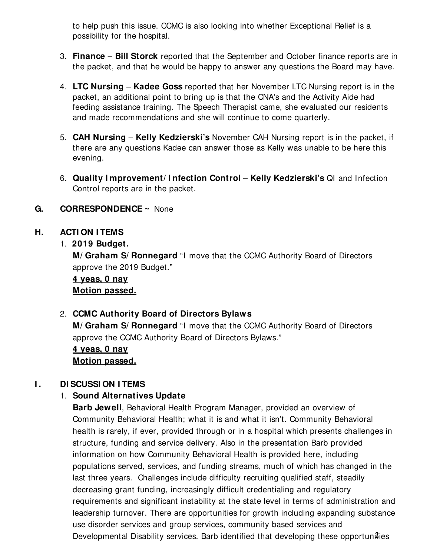to help push this issue. CCMC is also looking into whether Exceptional Relief is a possibility for the hospital.

- 3. **Finance Bill Storck** reported that the September and October finance reports are in the packet, and that he would be happy to answer any questions the Board may have.
- 4. **LTC Nursing Kadee Goss** reported that her November LTC Nursing report is in the packet, an additional point to bring up is that the CNA's and the Activity Aide had feeding assistance training. The Speech Therapist came, she evaluated our residents and made recommendations and she will continue to come quarterly.
- 5. **CAH Nursing Kelly Kedzierski's** November CAH Nursing report is in the packet, if there are any questions Kadee can answer those as Kelly was unable to be here this evening.
- 6. **Quality I mprovement/ I nfection Control Kelly Kedzierski's** QI and Infection Control reports are in the packet.

# **G. CORRESPONDENCE ~** None

# **H. ACTI ON I TEMS**

# 1. **2019 Budget.**

**M/ Graham S/ Ronnegard** "I move that the CCMC Authority Board of Directors approve the 2019 Budget."

# **4 yeas, 0 nay Motion passed.**

# 2. **CCMC Authority Board of Directors Bylaws**

**M/ Graham S/ Ronnegard** "I move that the CCMC Authority Board of Directors approve the CCMC Authority Board of Directors Bylaws."

# **4 yeas, 0 nay Motion passed.**

# **I . DI SCUSSI ON I TEMS**

# 1. **Sound Alternatives Update**

**Barb Jewell**, Behavioral Health Program Manager, provided an overview of Community Behavioral Health; what it is and what it isn't. Community Behavioral health is rarely, if ever, provided through or in a hospital which presents challenges in structure, funding and service delivery. Also in the presentation Barb provided information on how Community Behavioral Health is provided here, including populations served, services, and funding streams, much of which has changed in the last three years. Challenges include difficulty recruiting qualified staff, steadily decreasing grant funding, increasingly difficult credentialing and regulatory requirements and significant instability at the state level in terms of administration and leadership turnover. There are opportunities for growth including expanding substance use disorder services and group services, community based services and Developmental Disability services. Barb identified that developing these opportunaties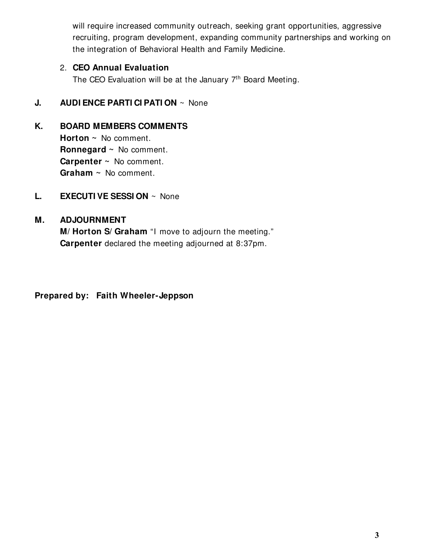will require increased community outreach, seeking grant opportunities, aggressive recruiting, program development, expanding community partnerships and working on the integration of Behavioral Health and Family Medicine.

# 2. **CEO Annual Evaluation**

The CEO Evaluation will be at the January 7<sup>th</sup> Board Meeting.

# **J. AUDI ENCE PARTI CI PATI ON**  $\sim$  None

# **K. BOARD MEMBERS COMMENTS**

**Horton ~** No comment. **Ronnegard ~** No comment. **Carpenter ~** No comment. **Graham ~** No comment.

**L. EXECUTI VE SESSI ON** ~ None

# **M. ADJOURNMENT**

**M/ Horton S/ Graham** "I move to adjourn the meeting." **Carpenter** declared the meeting adjourned at 8:37pm.

**Prepared by: Faith Wheeler-Jeppson**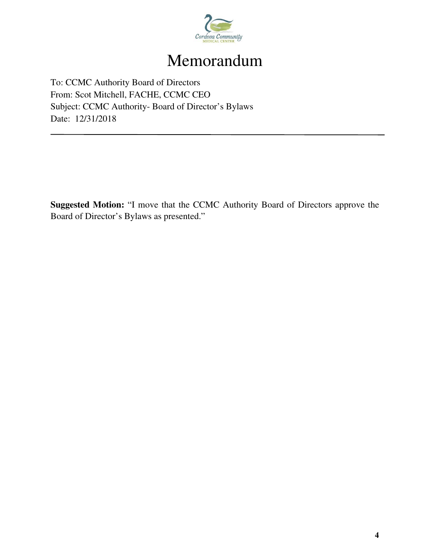

# Memorandum

To: CCMC Authority Board of Directors From: Scot Mitchell, FACHE, CCMC CEO Subject: CCMC Authority- Board of Director's Bylaws Date: 12/31/2018

**Suggested Motion:** "I move that the CCMC Authority Board of Directors approve the Board of Director's Bylaws as presented."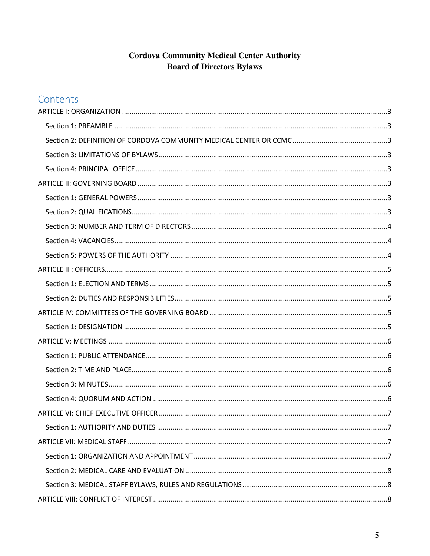# **Cordova Community Medical Center Authority Board of Directors Bylaws**

# Contents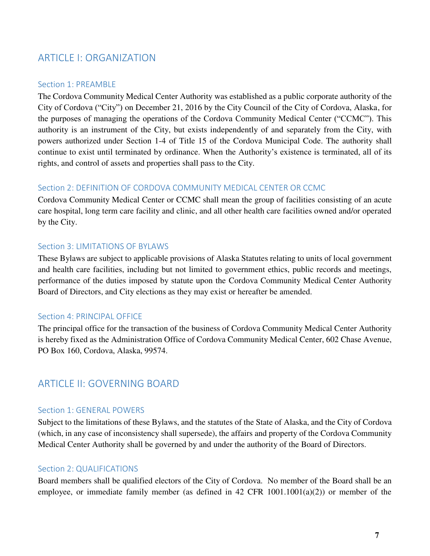# <span id="page-7-0"></span>ARTICLE I: ORGANIZATION

#### <span id="page-7-1"></span>Section 1: PREAMBLE

The Cordova Community Medical Center Authority was established as a public corporate authority of the City of Cordova ("City") on December 21, 2016 by the City Council of the City of Cordova, Alaska, for the purposes of managing the operations of the Cordova Community Medical Center ("CCMC"). This authority is an instrument of the City, but exists independently of and separately from the City, with powers authorized under Section 1-4 of Title 15 of the Cordova Municipal Code. The authority shall continue to exist until terminated by ordinance. When the Authority's existence is terminated, all of its rights, and control of assets and properties shall pass to the City.

#### <span id="page-7-2"></span>Section 2: DEFINITION OF CORDOVA COMMUNITY MEDICAL CENTER OR CCMC

Cordova Community Medical Center or CCMC shall mean the group of facilities consisting of an acute care hospital, long term care facility and clinic, and all other health care facilities owned and/or operated by the City.

#### <span id="page-7-3"></span>Section 3: LIMITATIONS OF BYLAWS

These Bylaws are subject to applicable provisions of Alaska Statutes relating to units of local government and health care facilities, including but not limited to government ethics, public records and meetings, performance of the duties imposed by statute upon the Cordova Community Medical Center Authority Board of Directors, and City elections as they may exist or hereafter be amended.

#### <span id="page-7-4"></span>Section 4: PRINCIPAL OFFICE

The principal office for the transaction of the business of Cordova Community Medical Center Authority is hereby fixed as the Administration Office of Cordova Community Medical Center, 602 Chase Avenue, PO Box 160, Cordova, Alaska, 99574.

# <span id="page-7-5"></span>ARTICLE II: GOVERNING BOARD

#### <span id="page-7-6"></span>Section 1: GENERAL POWERS

Subject to the limitations of these Bylaws, and the statutes of the State of Alaska, and the City of Cordova (which, in any case of inconsistency shall supersede), the affairs and property of the Cordova Community Medical Center Authority shall be governed by and under the authority of the Board of Directors.

# <span id="page-7-7"></span>Section 2: QUALIFICATIONS

Board members shall be qualified electors of the City of Cordova. No member of the Board shall be an employee, or immediate family member (as defined in 42 CFR 1001.1001(a)(2)) or member of the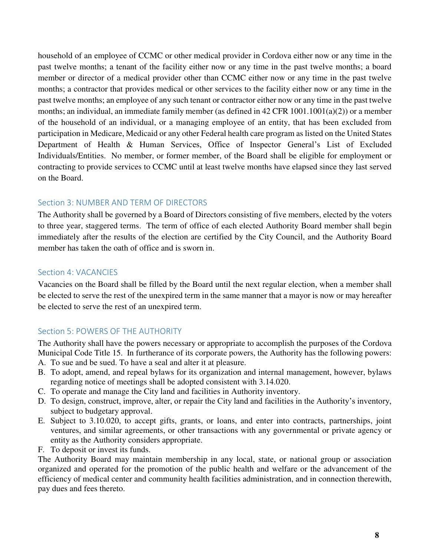household of an employee of CCMC or other medical provider in Cordova either now or any time in the past twelve months; a tenant of the facility either now or any time in the past twelve months; a board member or director of a medical provider other than CCMC either now or any time in the past twelve months; a contractor that provides medical or other services to the facility either now or any time in the past twelve months; an employee of any such tenant or contractor either now or any time in the past twelve months; an individual, an immediate family member (as defined in 42 CFR 1001.1001(a)(2)) or a member of the household of an individual, or a managing employee of an entity, that has been excluded from participation in Medicare, Medicaid or any other Federal health care program as listed on the United States Department of Health & Human Services, Office of Inspector General's List of Excluded Individuals/Entities. No member, or former member, of the Board shall be eligible for employment or contracting to provide services to CCMC until at least twelve months have elapsed since they last served on the Board.

# <span id="page-8-0"></span>Section 3: NUMBER AND TERM OF DIRECTORS

The Authority shall be governed by a Board of Directors consisting of five members, elected by the voters to three year, staggered terms. The term of office of each elected Authority Board member shall begin immediately after the results of the election are certified by the City Council, and the Authority Board member has taken the oath of office and is sworn in.

# <span id="page-8-1"></span>Section 4: VACANCIES

Vacancies on the Board shall be filled by the Board until the next regular election, when a member shall be elected to serve the rest of the unexpired term in the same manner that a mayor is now or may hereafter be elected to serve the rest of an unexpired term.

# <span id="page-8-2"></span>Section 5: POWERS OF THE AUTHORITY

The Authority shall have the powers necessary or appropriate to accomplish the purposes of the Cordova Municipal Code Title 15. In furtherance of its corporate powers, the Authority has the following powers:

- A. To sue and be sued. To have a seal and alter it at pleasure.
- B. To adopt, amend, and repeal bylaws for its organization and internal management, however, bylaws regarding notice of meetings shall be adopted consistent with 3.14.020.
- C. To operate and manage the City land and facilities in Authority inventory.
- D. To design, construct, improve, alter, or repair the City land and facilities in the Authority's inventory, subject to budgetary approval.
- E. Subject to 3.10.020, to accept gifts, grants, or loans, and enter into contracts, partnerships, joint ventures, and similar agreements, or other transactions with any governmental or private agency or entity as the Authority considers appropriate.
- F. To deposit or invest its funds.

The Authority Board may maintain membership in any local, state, or national group or association organized and operated for the promotion of the public health and welfare or the advancement of the efficiency of medical center and community health facilities administration, and in connection therewith, pay dues and fees thereto.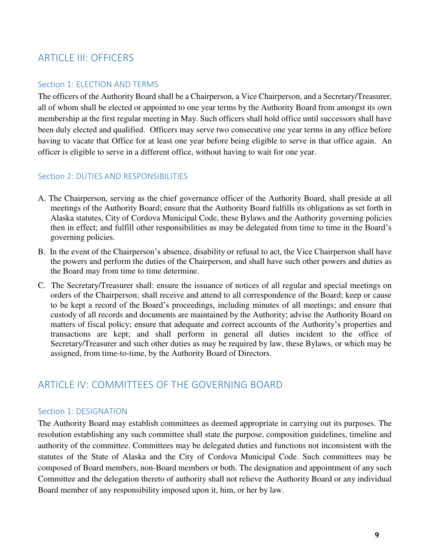# <span id="page-9-0"></span>ARTICLE III: OFFICERS

# <span id="page-9-1"></span>Section 1: ELECTION AND TERMS

The officers of the Authority Board shall be a Chairperson, a Vice Chairperson, and a Secretary/Treasurer, all of whom shall be elected or appointed to one year terms by the Authority Board from amongst its own membership at the first regular meeting in May. Such officers shall hold office until successors shall have been duly elected and qualified. Officers may serve two consecutive one year terms in any office before having to vacate that Office for at least one year before being eligible to serve in that office again. An officer is eligible to serve in a different office, without having to wait for one year.

# <span id="page-9-2"></span>Section 2: DUTIES AND RESPONSIBILITIES

- A. The Chairperson, serving as the chief governance officer of the Authority Board, shall preside at all meetings of the Authority Board; ensure that the Authority Board fulfills its obligations as set forth in Alaska statutes, City of Cordova Municipal Code, these Bylaws and the Authority governing policies then in effect; and fulfill other responsibilities as may be delegated from time to time in the Board's governing policies.
- B. In the event of the Chairperson's absence, disability or refusal to act, the Vice Chairperson shall have the powers and perform the duties of the Chairperson, and shall have such other powers and duties as the Board may from time to time determine.
- C. The Secretary/Treasurer shall: ensure the issuance of notices of all regular and special meetings on orders of the Chairperson; shall receive and attend to all correspondence of the Board; keep or cause to be kept a record of the Board's proceedings, including minutes of all meetings; and ensure that custody of all records and documents are maintained by the Authority; advise the Authority Board on matters of fiscal policy; ensure that adequate and correct accounts of the Authority's properties and transactions are kept; and shall perform in general all duties incident to the office of Secretary/Treasurer and such other duties as may be required by law, these Bylaws, or which may be assigned, from time-to-time, by the Authority Board of Directors.

# <span id="page-9-3"></span>ARTICLE IV: COMMITTEES OF THE GOVERNING BOARD

# <span id="page-9-4"></span>Section 1: DESIGNATION

The Authority Board may establish committees as deemed appropriate in carrying out its purposes. The resolution establishing any such committee shall state the purpose, composition guidelines, timeline and authority of the committee. Committees may be delegated duties and functions not inconsistent with the statutes of the State of Alaska and the City of Cordova Municipal Code. Such committees may be composed of Board members, non-Board members or both. The designation and appointment of any such Committee and the delegation thereto of authority shall not relieve the Authority Board or any individual Board member of any responsibility imposed upon it, him, or her by law.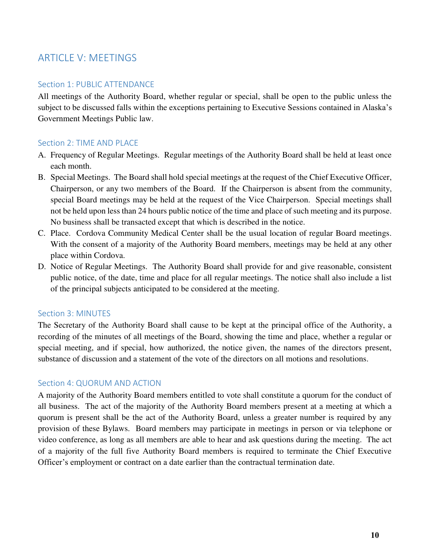# <span id="page-10-0"></span>ARTICLE V: MEETINGS

# <span id="page-10-1"></span>Section 1: PUBLIC ATTENDANCE

All meetings of the Authority Board, whether regular or special, shall be open to the public unless the subject to be discussed falls within the exceptions pertaining to Executive Sessions contained in Alaska's Government Meetings Public law.

# <span id="page-10-2"></span>Section 2: TIME AND PLACE

- A. Frequency of Regular Meetings. Regular meetings of the Authority Board shall be held at least once each month.
- B. Special Meetings. The Board shall hold special meetings at the request of the Chief Executive Officer, Chairperson, or any two members of the Board. If the Chairperson is absent from the community, special Board meetings may be held at the request of the Vice Chairperson. Special meetings shall not be held upon less than 24 hours public notice of the time and place of such meeting and its purpose. No business shall be transacted except that which is described in the notice.
- C. Place. Cordova Community Medical Center shall be the usual location of regular Board meetings. With the consent of a majority of the Authority Board members, meetings may be held at any other place within Cordova.
- D. Notice of Regular Meetings. The Authority Board shall provide for and give reasonable, consistent public notice, of the date, time and place for all regular meetings. The notice shall also include a list of the principal subjects anticipated to be considered at the meeting.

# <span id="page-10-3"></span>Section 3: MINUTES

The Secretary of the Authority Board shall cause to be kept at the principal office of the Authority, a recording of the minutes of all meetings of the Board, showing the time and place, whether a regular or special meeting, and if special, how authorized, the notice given, the names of the directors present, substance of discussion and a statement of the vote of the directors on all motions and resolutions.

# <span id="page-10-4"></span>Section 4: QUORUM AND ACTION

A majority of the Authority Board members entitled to vote shall constitute a quorum for the conduct of all business. The act of the majority of the Authority Board members present at a meeting at which a quorum is present shall be the act of the Authority Board, unless a greater number is required by any provision of these Bylaws. Board members may participate in meetings in person or via telephone or video conference, as long as all members are able to hear and ask questions during the meeting. The act of a majority of the full five Authority Board members is required to terminate the Chief Executive Officer's employment or contract on a date earlier than the contractual termination date.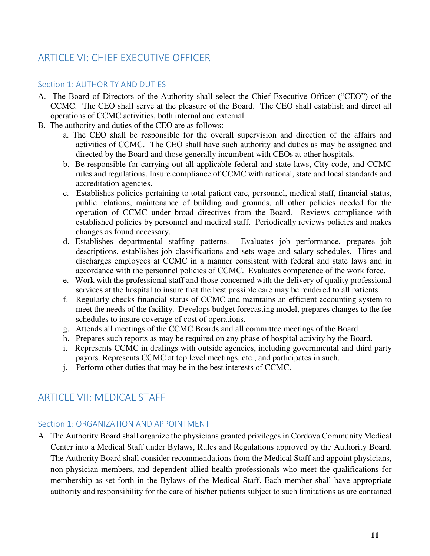# <span id="page-11-0"></span>ARTICLE VI: CHIEF EXECUTIVE OFFICER

# <span id="page-11-1"></span>Section 1: AUTHORITY AND DUTIES

- A. The Board of Directors of the Authority shall select the Chief Executive Officer ("CEO") of the CCMC. The CEO shall serve at the pleasure of the Board. The CEO shall establish and direct all operations of CCMC activities, both internal and external.
- B. The authority and duties of the CEO are as follows:
	- a. The CEO shall be responsible for the overall supervision and direction of the affairs and activities of CCMC. The CEO shall have such authority and duties as may be assigned and directed by the Board and those generally incumbent with CEOs at other hospitals.
	- b. Be responsible for carrying out all applicable federal and state laws, City code, and CCMC rules and regulations. Insure compliance of CCMC with national, state and local standards and accreditation agencies.
	- c. Establishes policies pertaining to total patient care, personnel, medical staff, financial status, public relations, maintenance of building and grounds, all other policies needed for the operation of CCMC under broad directives from the Board. Reviews compliance with established policies by personnel and medical staff. Periodically reviews policies and makes changes as found necessary.
	- d. Establishes departmental staffing patterns. Evaluates job performance, prepares job descriptions, establishes job classifications and sets wage and salary schedules. Hires and discharges employees at CCMC in a manner consistent with federal and state laws and in accordance with the personnel policies of CCMC. Evaluates competence of the work force.
	- e. Work with the professional staff and those concerned with the delivery of quality professional services at the hospital to insure that the best possible care may be rendered to all patients.
	- f. Regularly checks financial status of CCMC and maintains an efficient accounting system to meet the needs of the facility. Develops budget forecasting model, prepares changes to the fee schedules to insure coverage of cost of operations.
	- g. Attends all meetings of the CCMC Boards and all committee meetings of the Board.
	- h. Prepares such reports as may be required on any phase of hospital activity by the Board.
	- i. Represents CCMC in dealings with outside agencies, including governmental and third party payors. Represents CCMC at top level meetings, etc., and participates in such.
	- j. Perform other duties that may be in the best interests of CCMC.

# <span id="page-11-2"></span>ARTICLE VII: MEDICAL STAFF

# <span id="page-11-3"></span>Section 1: ORGANIZATION AND APPOINTMENT

A. The Authority Board shall organize the physicians granted privileges in Cordova Community Medical Center into a Medical Staff under Bylaws, Rules and Regulations approved by the Authority Board. The Authority Board shall consider recommendations from the Medical Staff and appoint physicians, non-physician members, and dependent allied health professionals who meet the qualifications for membership as set forth in the Bylaws of the Medical Staff. Each member shall have appropriate authority and responsibility for the care of his/her patients subject to such limitations as are contained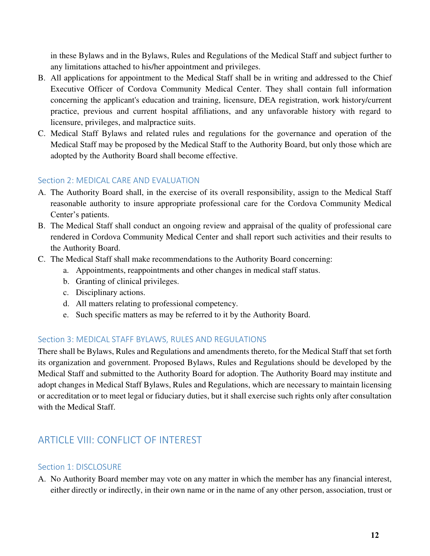in these Bylaws and in the Bylaws, Rules and Regulations of the Medical Staff and subject further to any limitations attached to his/her appointment and privileges.

- B. All applications for appointment to the Medical Staff shall be in writing and addressed to the Chief Executive Officer of Cordova Community Medical Center. They shall contain full information concerning the applicant's education and training, licensure, DEA registration, work history/current practice, previous and current hospital affiliations, and any unfavorable history with regard to licensure, privileges, and malpractice suits.
- C. Medical Staff Bylaws and related rules and regulations for the governance and operation of the Medical Staff may be proposed by the Medical Staff to the Authority Board, but only those which are adopted by the Authority Board shall become effective.

# <span id="page-12-0"></span>Section 2: MEDICAL CARE AND EVALUATION

- A. The Authority Board shall, in the exercise of its overall responsibility, assign to the Medical Staff reasonable authority to insure appropriate professional care for the Cordova Community Medical Center's patients.
- B. The Medical Staff shall conduct an ongoing review and appraisal of the quality of professional care rendered in Cordova Community Medical Center and shall report such activities and their results to the Authority Board.
- C. The Medical Staff shall make recommendations to the Authority Board concerning:
	- a. Appointments, reappointments and other changes in medical staff status.
	- b. Granting of clinical privileges.
	- c. Disciplinary actions.
	- d. All matters relating to professional competency.
	- e. Such specific matters as may be referred to it by the Authority Board.

# <span id="page-12-1"></span>Section 3: MEDICAL STAFF BYLAWS, RULES AND REGULATIONS

There shall be Bylaws, Rules and Regulations and amendments thereto, for the Medical Staff that set forth its organization and government. Proposed Bylaws, Rules and Regulations should be developed by the Medical Staff and submitted to the Authority Board for adoption. The Authority Board may institute and adopt changes in Medical Staff Bylaws, Rules and Regulations, which are necessary to maintain licensing or accreditation or to meet legal or fiduciary duties, but it shall exercise such rights only after consultation with the Medical Staff.

# <span id="page-12-2"></span>ARTICLE VIII: CONFLICT OF INTEREST

# <span id="page-12-3"></span>Section 1: DISCLOSURE

A. No Authority Board member may vote on any matter in which the member has any financial interest, either directly or indirectly, in their own name or in the name of any other person, association, trust or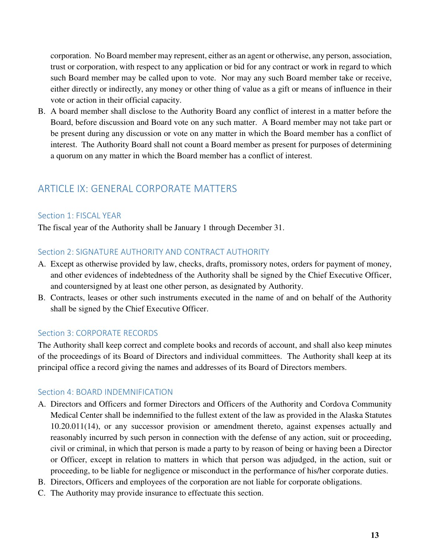corporation. No Board member may represent, either as an agent or otherwise, any person, association, trust or corporation, with respect to any application or bid for any contract or work in regard to which such Board member may be called upon to vote. Nor may any such Board member take or receive, either directly or indirectly, any money or other thing of value as a gift or means of influence in their vote or action in their official capacity.

B. A board member shall disclose to the Authority Board any conflict of interest in a matter before the Board, before discussion and Board vote on any such matter. A Board member may not take part or be present during any discussion or vote on any matter in which the Board member has a conflict of interest. The Authority Board shall not count a Board member as present for purposes of determining a quorum on any matter in which the Board member has a conflict of interest.

# <span id="page-13-0"></span>ARTICLE IX: GENERAL CORPORATE MATTERS

# <span id="page-13-1"></span>Section 1: FISCAL YEAR

The fiscal year of the Authority shall be January 1 through December 31.

# <span id="page-13-2"></span>Section 2: SIGNATURE AUTHORITY AND CONTRACT AUTHORITY

- A. Except as otherwise provided by law, checks, drafts, promissory notes, orders for payment of money, and other evidences of indebtedness of the Authority shall be signed by the Chief Executive Officer, and countersigned by at least one other person, as designated by Authority.
- B. Contracts, leases or other such instruments executed in the name of and on behalf of the Authority shall be signed by the Chief Executive Officer.

# <span id="page-13-3"></span>Section 3: CORPORATE RECORDS

The Authority shall keep correct and complete books and records of account, and shall also keep minutes of the proceedings of its Board of Directors and individual committees. The Authority shall keep at its principal office a record giving the names and addresses of its Board of Directors members.

# <span id="page-13-4"></span>Section 4: BOARD INDEMNIFICATION

- A. Directors and Officers and former Directors and Officers of the Authority and Cordova Community Medical Center shall be indemnified to the fullest extent of the law as provided in the Alaska Statutes 10.20.011(14), or any successor provision or amendment thereto, against expenses actually and reasonably incurred by such person in connection with the defense of any action, suit or proceeding, civil or criminal, in which that person is made a party to by reason of being or having been a Director or Officer, except in relation to matters in which that person was adjudged, in the action, suit or proceeding, to be liable for negligence or misconduct in the performance of his/her corporate duties.
- B. Directors, Officers and employees of the corporation are not liable for corporate obligations.
- C. The Authority may provide insurance to effectuate this section.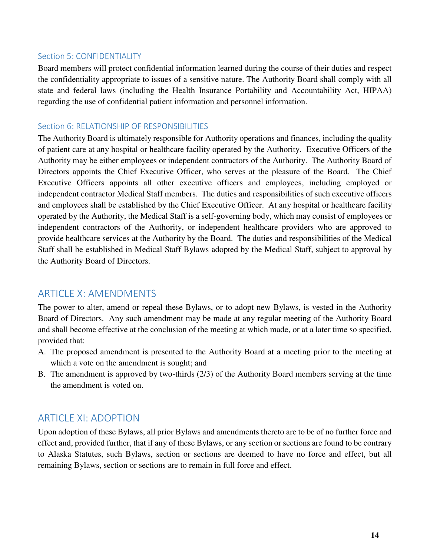# <span id="page-14-0"></span>Section 5: CONFIDENTIALITY

Board members will protect confidential information learned during the course of their duties and respect the confidentiality appropriate to issues of a sensitive nature. The Authority Board shall comply with all state and federal laws (including the Health Insurance Portability and Accountability Act, HIPAA) regarding the use of confidential patient information and personnel information.

# <span id="page-14-1"></span>Section 6: RELATIONSHIP OF RESPONSIBILITIES

The Authority Board is ultimately responsible for Authority operations and finances, including the quality of patient care at any hospital or healthcare facility operated by the Authority. Executive Officers of the Authority may be either employees or independent contractors of the Authority. The Authority Board of Directors appoints the Chief Executive Officer, who serves at the pleasure of the Board. The Chief Executive Officers appoints all other executive officers and employees, including employed or independent contractor Medical Staff members. The duties and responsibilities of such executive officers and employees shall be established by the Chief Executive Officer. At any hospital or healthcare facility operated by the Authority, the Medical Staff is a self-governing body, which may consist of employees or independent contractors of the Authority, or independent healthcare providers who are approved to provide healthcare services at the Authority by the Board. The duties and responsibilities of the Medical Staff shall be established in Medical Staff Bylaws adopted by the Medical Staff, subject to approval by the Authority Board of Directors.

# <span id="page-14-2"></span>ARTICLE X: AMENDMENTS

The power to alter, amend or repeal these Bylaws, or to adopt new Bylaws, is vested in the Authority Board of Directors. Any such amendment may be made at any regular meeting of the Authority Board and shall become effective at the conclusion of the meeting at which made, or at a later time so specified, provided that:

- A. The proposed amendment is presented to the Authority Board at a meeting prior to the meeting at which a vote on the amendment is sought; and
- B. The amendment is approved by two-thirds (2/3) of the Authority Board members serving at the time the amendment is voted on.

# <span id="page-14-3"></span>ARTICLE XI: ADOPTION

Upon adoption of these Bylaws, all prior Bylaws and amendments thereto are to be of no further force and effect and, provided further, that if any of these Bylaws, or any section or sections are found to be contrary to Alaska Statutes, such Bylaws, section or sections are deemed to have no force and effect, but all remaining Bylaws, section or sections are to remain in full force and effect.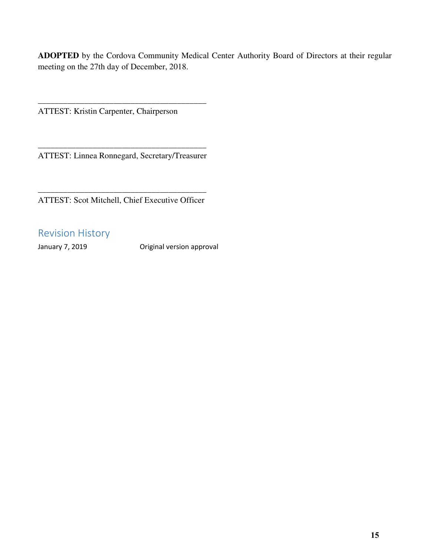**ADOPTED** by the Cordova Community Medical Center Authority Board of Directors at their regular meeting on the 27th day of December, 2018.

ATTEST: Kristin Carpenter, Chairperson

\_\_\_\_\_\_\_\_\_\_\_\_\_\_\_\_\_\_\_\_\_\_\_\_\_\_\_\_\_\_\_\_\_\_\_\_\_\_\_\_ ATTEST: Linnea Ronnegard, Secretary/Treasurer

\_\_\_\_\_\_\_\_\_\_\_\_\_\_\_\_\_\_\_\_\_\_\_\_\_\_\_\_\_\_\_\_\_\_\_\_\_\_\_\_

\_\_\_\_\_\_\_\_\_\_\_\_\_\_\_\_\_\_\_\_\_\_\_\_\_\_\_\_\_\_\_\_\_\_\_\_\_\_\_\_ ATTEST: Scot Mitchell, Chief Executive Officer

# <span id="page-15-0"></span>Revision History

January 7, 2019 Original version approval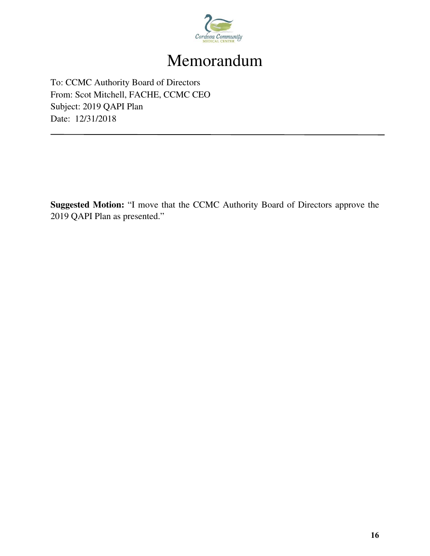

# Memorandum

To: CCMC Authority Board of Directors From: Scot Mitchell, FACHE, CCMC CEO Subject: 2019 QAPI Plan Date: 12/31/2018

**Suggested Motion:** "I move that the CCMC Authority Board of Directors approve the 2019 QAPI Plan as presented."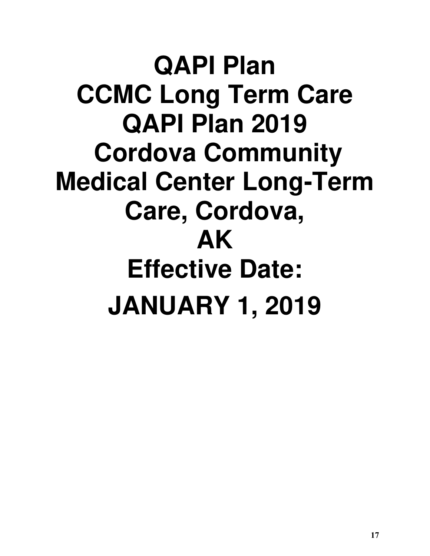# **QAPI Plan CCMC Long Term Care QAPI Plan 2019 Cordova Community Medical Center Long-Term Care, Cordova, AK Effective Date: JANUARY 1, 2019**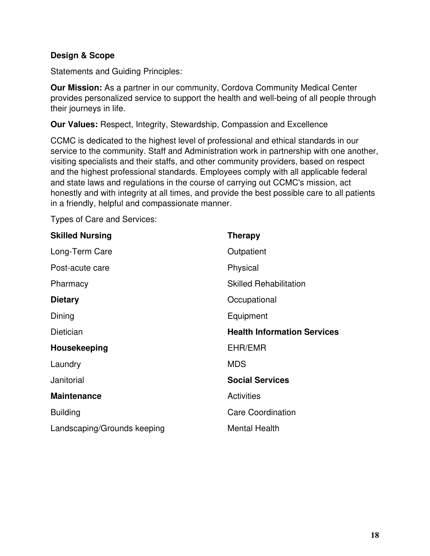# **Design & Scope**

Statements and Guiding Principles:

**Our Mission:** As a partner in our community, Cordova Community Medical Center provides personalized service to support the health and well-being of all people through their journeys in life.

**Our Values:** Respect, Integrity, Stewardship, Compassion and Excellence

CCMC is dedicated to the highest level of professional and ethical standards in our service to the community. Staff and Administration work in partnership with one another, visiting specialists and their staffs, and other community providers, based on respect and the highest professional standards. Employees comply with all applicable federal and state laws and regulations in the course of carrying out CCMC's mission, act honestly and with integrity at all times, and provide the best possible care to all patients in a friendly, helpful and compassionate manner.

Types of Care and Services:

| <b>Skilled Nursing</b>      | <b>Therapy</b>                     |
|-----------------------------|------------------------------------|
| Long-Term Care              | Outpatient                         |
| Post-acute care             | Physical                           |
| Pharmacy                    | <b>Skilled Rehabilitation</b>      |
| <b>Dietary</b>              | Occupational                       |
| Dining                      | Equipment                          |
| Dietician                   | <b>Health Information Services</b> |
| Housekeeping                | EHR/EMR                            |
| Laundry                     | <b>MDS</b>                         |
| Janitorial                  | <b>Social Services</b>             |
| <b>Maintenance</b>          | <b>Activities</b>                  |
| <b>Building</b>             | <b>Care Coordination</b>           |
| Landscaping/Grounds keeping | <b>Mental Health</b>               |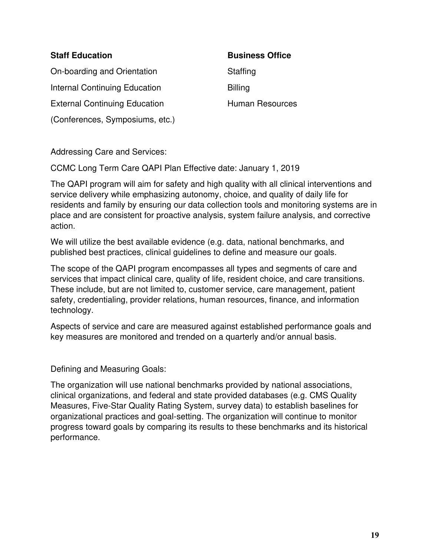# **Staff Education**

On-boarding and Orientation Internal Continuing Education External Continuing Education (Conferences, Symposiums, etc.)

**Business Office Staffing** Billing Human Resources

Addressing Care and Services:

CCMC Long Term Care QAPI Plan Effective date: January 1, 2019

The QAPI program will aim for safety and high quality with all clinical interventions and service delivery while emphasizing autonomy, choice, and quality of daily life for residents and family by ensuring our data collection tools and monitoring systems are in place and are consistent for proactive analysis, system failure analysis, and corrective action.

We will utilize the best available evidence (e.g. data, national benchmarks, and published best practices, clinical guidelines to define and measure our goals.

The scope of the QAPI program encompasses all types and segments of care and services that impact clinical care, quality of life, resident choice, and care transitions. These include, but are not limited to, customer service, care management, patient safety, credentialing, provider relations, human resources, finance, and information technology.

Aspects of service and care are measured against established performance goals and key measures are monitored and trended on a quarterly and/or annual basis.

Defining and Measuring Goals:

The organization will use national benchmarks provided by national associations, clinical organizations, and federal and state provided databases (e.g. CMS Quality Measures, Five-Star Quality Rating System, survey data) to establish baselines for organizational practices and goal-setting. The organization will continue to monitor progress toward goals by comparing its results to these benchmarks and its historical performance.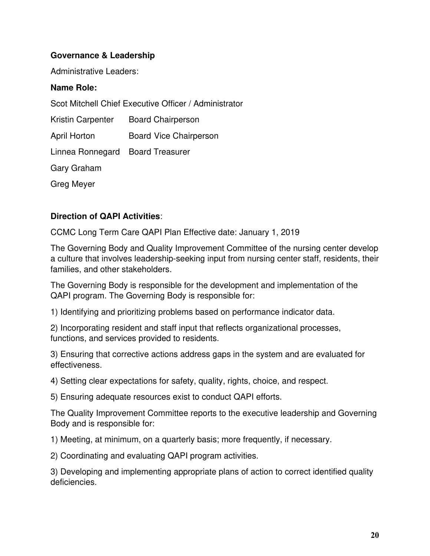# **Governance & Leadership**

Administrative Leaders:

# **Name Role:**

Scot Mitchell Chief Executive Officer / Administrator

Kristin Carpenter Board Chairperson April Horton Board Vice Chairperson Linnea Ronnegard Board Treasurer Gary Graham Greg Meyer

# **Direction of QAPI Activities**:

CCMC Long Term Care QAPI Plan Effective date: January 1, 2019

The Governing Body and Quality Improvement Committee of the nursing center develop a culture that involves leadership-seeking input from nursing center staff, residents, their families, and other stakeholders.

The Governing Body is responsible for the development and implementation of the QAPI program. The Governing Body is responsible for:

1) Identifying and prioritizing problems based on performance indicator data.

2) Incorporating resident and staff input that reflects organizational processes, functions, and services provided to residents.

3) Ensuring that corrective actions address gaps in the system and are evaluated for effectiveness.

4) Setting clear expectations for safety, quality, rights, choice, and respect.

5) Ensuring adequate resources exist to conduct QAPI efforts.

The Quality Improvement Committee reports to the executive leadership and Governing Body and is responsible for:

1) Meeting, at minimum, on a quarterly basis; more frequently, if necessary.

2) Coordinating and evaluating QAPI program activities.

3) Developing and implementing appropriate plans of action to correct identified quality deficiencies.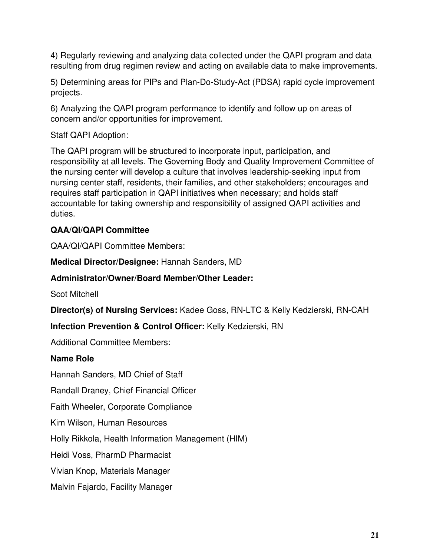4) Regularly reviewing and analyzing data collected under the QAPI program and data resulting from drug regimen review and acting on available data to make improvements.

5) Determining areas for PIPs and Plan-Do-Study-Act (PDSA) rapid cycle improvement projects.

6) Analyzing the QAPI program performance to identify and follow up on areas of concern and/or opportunities for improvement.

Staff QAPI Adoption:

The QAPI program will be structured to incorporate input, participation, and responsibility at all levels. The Governing Body and Quality Improvement Committee of the nursing center will develop a culture that involves leadership-seeking input from nursing center staff, residents, their families, and other stakeholders; encourages and requires staff participation in QAPI initiatives when necessary; and holds staff accountable for taking ownership and responsibility of assigned QAPI activities and duties.

# **QAA/QI/QAPI Committee**

QAA/QI/QAPI Committee Members:

**Medical Director/Designee:** Hannah Sanders, MD

# **Administrator/Owner/Board Member/Other Leader:**

Scot Mitchell

**Director(s) of Nursing Services:** Kadee Goss, RN-LTC & Kelly Kedzierski, RN-CAH

# **Infection Prevention & Control Officer:** Kelly Kedzierski, RN

Additional Committee Members:

# **Name Role**

Hannah Sanders, MD Chief of Staff

Randall Draney, Chief Financial Officer

Faith Wheeler, Corporate Compliance

Kim Wilson, Human Resources

Holly Rikkola, Health Information Management (HIM)

Heidi Voss, PharmD Pharmacist

Vivian Knop, Materials Manager

Malvin Fajardo, Facility Manager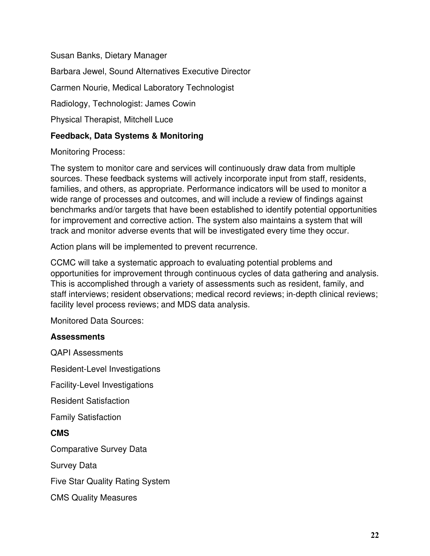Susan Banks, Dietary Manager Barbara Jewel, Sound Alternatives Executive Director Carmen Nourie, Medical Laboratory Technologist Radiology, Technologist: James Cowin Physical Therapist, Mitchell Luce

# **Feedback, Data Systems & Monitoring**

Monitoring Process:

The system to monitor care and services will continuously draw data from multiple sources. These feedback systems will actively incorporate input from staff, residents, families, and others, as appropriate. Performance indicators will be used to monitor a wide range of processes and outcomes, and will include a review of findings against benchmarks and/or targets that have been established to identify potential opportunities for improvement and corrective action. The system also maintains a system that will track and monitor adverse events that will be investigated every time they occur.

Action plans will be implemented to prevent recurrence.

CCMC will take a systematic approach to evaluating potential problems and opportunities for improvement through continuous cycles of data gathering and analysis. This is accomplished through a variety of assessments such as resident, family, and staff interviews; resident observations; medical record reviews; in-depth clinical reviews; facility level process reviews; and MDS data analysis.

Monitored Data Sources:

# **Assessments**

QAPI Assessments Resident-Level Investigations Facility-Level Investigations Resident Satisfaction Family Satisfaction **CMS**  Comparative Survey Data Survey Data Five Star Quality Rating System CMS Quality Measures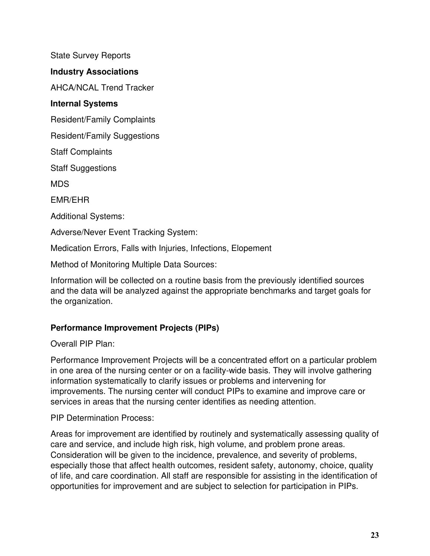State Survey Reports

# **Industry Associations**

AHCA/NCAL Trend Tracker

# **Internal Systems**

Resident/Family Complaints

Resident/Family Suggestions

Staff Complaints

Staff Suggestions

MDS

EMR/EHR

Additional Systems:

Adverse/Never Event Tracking System:

Medication Errors, Falls with Injuries, Infections, Elopement

Method of Monitoring Multiple Data Sources:

Information will be collected on a routine basis from the previously identified sources and the data will be analyzed against the appropriate benchmarks and target goals for the organization.

# **Performance Improvement Projects (PIPs)**

Overall PIP Plan:

Performance Improvement Projects will be a concentrated effort on a particular problem in one area of the nursing center or on a facility-wide basis. They will involve gathering information systematically to clarify issues or problems and intervening for improvements. The nursing center will conduct PIPs to examine and improve care or services in areas that the nursing center identifies as needing attention.

PIP Determination Process:

Areas for improvement are identified by routinely and systematically assessing quality of care and service, and include high risk, high volume, and problem prone areas. Consideration will be given to the incidence, prevalence, and severity of problems, especially those that affect health outcomes, resident safety, autonomy, choice, quality of life, and care coordination. All staff are responsible for assisting in the identification of opportunities for improvement and are subject to selection for participation in PIPs.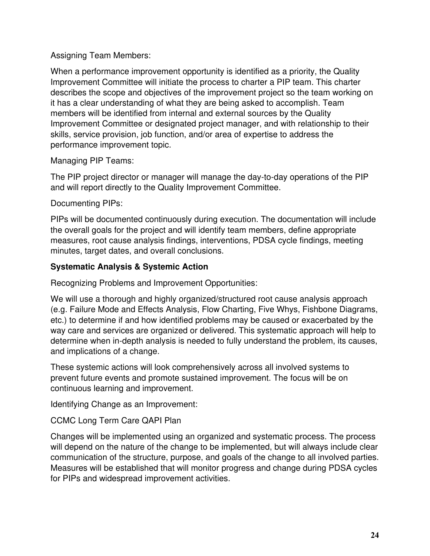# Assigning Team Members:

When a performance improvement opportunity is identified as a priority, the Quality Improvement Committee will initiate the process to charter a PIP team. This charter describes the scope and objectives of the improvement project so the team working on it has a clear understanding of what they are being asked to accomplish. Team members will be identified from internal and external sources by the Quality Improvement Committee or designated project manager, and with relationship to their skills, service provision, job function, and/or area of expertise to address the performance improvement topic.

Managing PIP Teams:

The PIP project director or manager will manage the day-to-day operations of the PIP and will report directly to the Quality Improvement Committee.

Documenting PIPs:

PIPs will be documented continuously during execution. The documentation will include the overall goals for the project and will identify team members, define appropriate measures, root cause analysis findings, interventions, PDSA cycle findings, meeting minutes, target dates, and overall conclusions.

# **Systematic Analysis & Systemic Action**

Recognizing Problems and Improvement Opportunities:

We will use a thorough and highly organized/structured root cause analysis approach (e.g. Failure Mode and Effects Analysis, Flow Charting, Five Whys, Fishbone Diagrams, etc.) to determine if and how identified problems may be caused or exacerbated by the way care and services are organized or delivered. This systematic approach will help to determine when in-depth analysis is needed to fully understand the problem, its causes, and implications of a change.

These systemic actions will look comprehensively across all involved systems to prevent future events and promote sustained improvement. The focus will be on continuous learning and improvement.

Identifying Change as an Improvement:

CCMC Long Term Care QAPI Plan

Changes will be implemented using an organized and systematic process. The process will depend on the nature of the change to be implemented, but will always include clear communication of the structure, purpose, and goals of the change to all involved parties. Measures will be established that will monitor progress and change during PDSA cycles for PIPs and widespread improvement activities.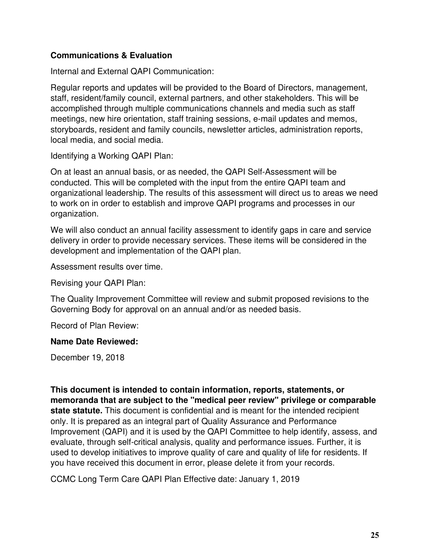# **Communications & Evaluation**

Internal and External QAPI Communication:

Regular reports and updates will be provided to the Board of Directors, management, staff, resident/family council, external partners, and other stakeholders. This will be accomplished through multiple communications channels and media such as staff meetings, new hire orientation, staff training sessions, e-mail updates and memos, storyboards, resident and family councils, newsletter articles, administration reports, local media, and social media.

Identifying a Working QAPI Plan:

On at least an annual basis, or as needed, the QAPI Self-Assessment will be conducted. This will be completed with the input from the entire QAPI team and organizational leadership. The results of this assessment will direct us to areas we need to work on in order to establish and improve QAPI programs and processes in our organization.

We will also conduct an annual facility assessment to identify gaps in care and service delivery in order to provide necessary services. These items will be considered in the development and implementation of the QAPI plan.

Assessment results over time.

Revising your QAPI Plan:

The Quality Improvement Committee will review and submit proposed revisions to the Governing Body for approval on an annual and/or as needed basis.

Record of Plan Review:

# **Name Date Reviewed:**

December 19, 2018

**This document is intended to contain information, reports, statements, or memoranda that are subject to the "medical peer review" privilege or comparable state statute.** This document is confidential and is meant for the intended recipient only. It is prepared as an integral part of Quality Assurance and Performance Improvement (QAPI) and it is used by the QAPI Committee to help identify, assess, and evaluate, through self-critical analysis, quality and performance issues. Further, it is used to develop initiatives to improve quality of care and quality of life for residents. If you have received this document in error, please delete it from your records.

CCMC Long Term Care QAPI Plan Effective date: January 1, 2019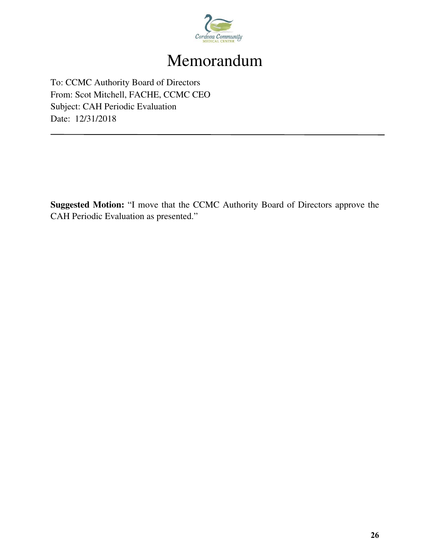

# Memorandum

To: CCMC Authority Board of Directors From: Scot Mitchell, FACHE, CCMC CEO Subject: CAH Periodic Evaluation Date: 12/31/2018

**Suggested Motion:** "I move that the CCMC Authority Board of Directors approve the CAH Periodic Evaluation as presented."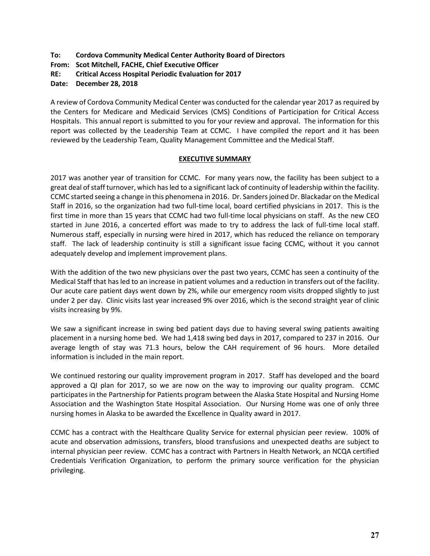# **To: Cordova Community Medical Center Authority Board of Directors**

**From: Scot Mitchell, FACHE, Chief Executive Officer** 

**RE: Critical Access Hospital Periodic Evaluation for 2017** 

**Date: December 28, 2018** 

A review of Cordova Community Medical Center was conducted for the calendar year 2017 as required by the Centers for Medicare and Medicaid Services (CMS) Conditions of Participation for Critical Access Hospitals. This annual report is submitted to you for your review and approval. The information for this report was collected by the Leadership Team at CCMC. I have compiled the report and it has been reviewed by the Leadership Team, Quality Management Committee and the Medical Staff.

#### **EXECUTIVE SUMMARY**

2017 was another year of transition for CCMC. For many years now, the facility has been subject to a great deal of staff turnover, which has led to a significant lack of continuity of leadership within the facility. CCMC started seeing a change in this phenomena in 2016. Dr. Sanders joined Dr. Blackadar on the Medical Staff in 2016, so the organization had two full-time local, board certified physicians in 2017. This is the first time in more than 15 years that CCMC had two full-time local physicians on staff. As the new CEO started in June 2016, a concerted effort was made to try to address the lack of full-time local staff. Numerous staff, especially in nursing were hired in 2017, which has reduced the reliance on temporary staff. The lack of leadership continuity is still a significant issue facing CCMC, without it you cannot adequately develop and implement improvement plans.

With the addition of the two new physicians over the past two years, CCMC has seen a continuity of the Medical Staff that has led to an increase in patient volumes and a reduction in transfers out of the facility. Our acute care patient days went down by 2%, while our emergency room visits dropped slightly to just under 2 per day. Clinic visits last year increased 9% over 2016, which is the second straight year of clinic visits increasing by 9%.

We saw a significant increase in swing bed patient days due to having several swing patients awaiting placement in a nursing home bed. We had 1,418 swing bed days in 2017, compared to 237 in 2016. Our average length of stay was 71.3 hours, below the CAH requirement of 96 hours. More detailed information is included in the main report.

We continued restoring our quality improvement program in 2017. Staff has developed and the board approved a QI plan for 2017, so we are now on the way to improving our quality program. CCMC participates in the Partnership for Patients program between the Alaska State Hospital and Nursing Home Association and the Washington State Hospital Association. Our Nursing Home was one of only three nursing homes in Alaska to be awarded the Excellence in Quality award in 2017.

CCMC has a contract with the Healthcare Quality Service for external physician peer review. 100% of acute and observation admissions, transfers, blood transfusions and unexpected deaths are subject to internal physician peer review. CCMC has a contract with Partners in Health Network, an NCQA certified Credentials Verification Organization, to perform the primary source verification for the physician privileging.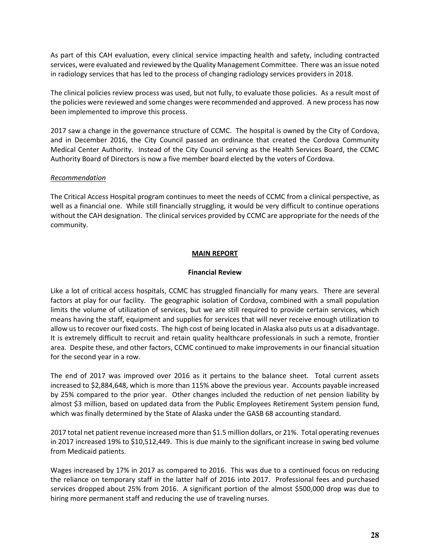As part of this CAH evaluation, every clinical service impacting health and safety, including contracted services, were evaluated and reviewed by the Quality Management Committee. There was an issue noted in radiology services that has led to the process of changing radiology services providers in 2018.

The clinical policies review process was used, but not fully, to evaluate those policies. As a result most of the policies were reviewed and some changes were recommended and approved. A new process has now been implemented to improve this process.

2017 saw a change in the governance structure of CCMC. The hospital is owned by the City of Cordova, and in December 2016, the City Council passed an ordinance that created the Cordova Community Medical Center Authority. Instead of the City Council serving as the Health Services Board, the CCMC Authority Board of Directors is now a five member board elected by the voters of Cordova.

#### *Recommendation*

The Critical Access Hospital program continues to meet the needs of CCMC from a clinical perspective, as well as a financial one. While still financially struggling, it would be very difficult to continue operations without the CAH designation. The clinical services provided by CCMC are appropriate for the needs of the community.

#### **MAIN REPORT**

#### **Financial Review**

Like a lot of critical access hospitals, CCMC has struggled financially for many years. There are several factors at play for our facility. The geographic isolation of Cordova, combined with a small population limits the volume of utilization of services, but we are still required to provide certain services, which means having the staff, equipment and supplies for services that will never receive enough utilization to allow us to recover our fixed costs. The high cost of being located in Alaska also puts us at a disadvantage. It is extremely difficult to recruit and retain quality healthcare professionals in such a remote, frontier area. Despite these, and other factors, CCMC continued to make improvements in our financial situation for the second year in a row.

The end of 2017 was improved over 2016 as it pertains to the balance sheet. Total current assets increased to \$2,884,648, which is more than 115% above the previous year. Accounts payable increased by 25% compared to the prior year. Other changes included the reduction of net pension liability by almost \$3 million, based on updated data from the Public Employees Retirement System pension fund, which was finally determined by the State of Alaska under the GASB 68 accounting standard.

2017 total net patient revenue increased more than \$1.5 million dollars, or 21%. Total operating revenues in 2017 increased 19% to \$10,512,449. This is due mainly to the significant increase in swing bed volume from Medicaid patients.

Wages increased by 17% in 2017 as compared to 2016. This was due to a continued focus on reducing the reliance on temporary staff in the latter half of 2016 into 2017. Professional fees and purchased services dropped about 25% from 2016. A significant portion of the almost \$500,000 drop was due to hiring more permanent staff and reducing the use of traveling nurses.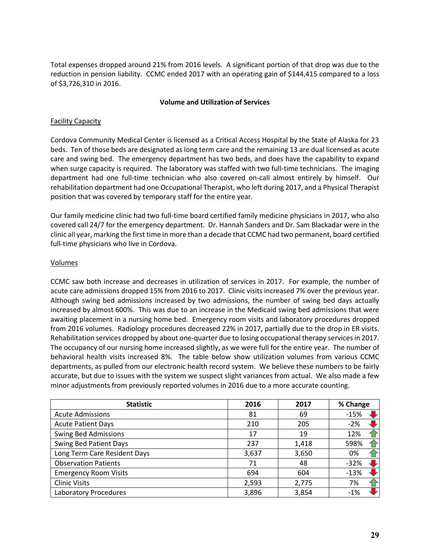Total expenses dropped around 21% from 2016 levels. A significant portion of that drop was due to the reduction in pension liability. CCMC ended 2017 with an operating gain of \$144,415 compared to a loss of \$3,726,310 in 2016.

#### **Volume and Utilization of Services**

#### Facility Capacity

Cordova Community Medical Center is licensed as a Critical Access Hospital by the State of Alaska for 23 beds. Ten of those beds are designated as long term care and the remaining 13 are dual licensed as acute care and swing bed. The emergency department has two beds, and does have the capability to expand when surge capacity is required. The laboratory was staffed with two full-time technicians. The imaging department had one full-time technician who also covered on-call almost entirely by himself. Our rehabilitation department had one Occupational Therapist, who left during 2017, and a Physical Therapist position that was covered by temporary staff for the entire year.

Our family medicine clinic had two full-time board certified family medicine physicians in 2017, who also covered call 24/7 for the emergency department. Dr. Hannah Sanders and Dr. Sam Blackadar were in the clinic all year, marking the first time in more than a decade that CCMC had two permanent, board certified full-time physicians who live in Cordova.

#### Volumes

CCMC saw both increase and decreases in utilization of services in 2017. For example, the number of acute care admissions dropped 15% from 2016 to 2017. Clinic visits increased 7% over the previous year. Although swing bed admissions increased by two admissions, the number of swing bed days actually increased by almost 600%. This was due to an increase in the Medicaid swing bed admissions that were awaiting placement in a nursing home bed. Emergency room visits and laboratory procedures dropped from 2016 volumes. Radiology procedures decreased 22% in 2017, partially due to the drop in ER visits. Rehabilitation services dropped by about one-quarter due to losing occupational therapy services in 2017. The occupancy of our nursing home increased slightly, as we were full for the entire year. The number of behavioral health visits increased 8%. The table below show utilization volumes from various CCMC departments, as pulled from our electronic health record system. We believe these numbers to be fairly accurate, but due to issues with the system we suspect slight variances from actual. We also made a few minor adjustments from previously reported volumes in 2016 due to a more accurate counting.

| <b>Statistic</b>              | 2016  | 2017  | % Change                       |
|-------------------------------|-------|-------|--------------------------------|
| <b>Acute Admissions</b>       | 81    | 69    | $-15%$                         |
| <b>Acute Patient Days</b>     | 210   | 205   | $-2%$                          |
| <b>Swing Bed Admissions</b>   | 17    | 19    | 12%                            |
| <b>Swing Bed Patient Days</b> | 237   | 1,418 | 598%                           |
| Long Term Care Resident Days  | 3,637 | 3,650 | 0%                             |
| <b>Observation Patients</b>   | 71    | 48    | $-32%$                         |
| <b>Emergency Room Visits</b>  | 694   | 604   | $-13%$                         |
| <b>Clinic Visits</b>          | 2,593 | 2,775 | 7%                             |
| Laboratory Procedures         | 3,896 | 3,854 | $\blacktriangleright$<br>$-1%$ |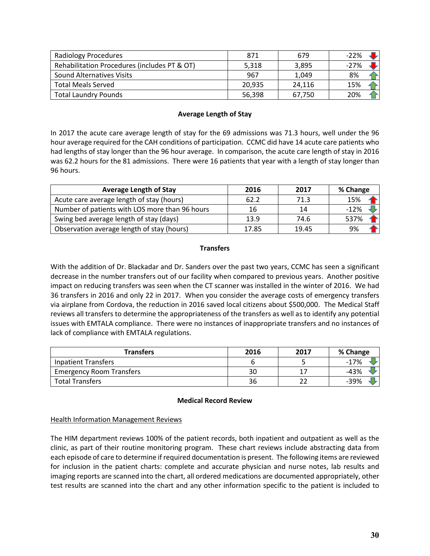| <b>Radiology Procedures</b>                  | 871    | 679    | $-22\%$ |
|----------------------------------------------|--------|--------|---------|
| Rehabilitation Procedures (includes PT & OT) | 5,318  | 3,895  | -27%    |
| <b>Sound Alternatives Visits</b>             | 967    | 1,049  | 8%      |
| <b>Total Meals Served</b>                    | 20,935 | 24,116 | 15%     |
| <b>Total Laundry Pounds</b>                  | 56,398 | 67,750 | 20%     |

#### **Average Length of Stay**

In 2017 the acute care average length of stay for the 69 admissions was 71.3 hours, well under the 96 hour average required for the CAH conditions of participation. CCMC did have 14 acute care patients who had lengths of stay longer than the 96 hour average. In comparison, the acute care length of stay in 2016 was 62.2 hours for the 81 admissions. There were 16 patients that year with a length of stay longer than 96 hours.

| <b>Average Length of Stay</b>                  | 2016  | 2017  | % Change |
|------------------------------------------------|-------|-------|----------|
| Acute care average length of stay (hours)      | 62.2  | 71.3  | 15%      |
| Number of patients with LOS more than 96 hours | 16    | 14    | $-12%$   |
| Swing bed average length of stay (days)        | 13.9  | 74.6  | 537%     |
| Observation average length of stay (hours)     | 17.85 | 19.45 | 9%       |

#### **Transfers**

With the addition of Dr. Blackadar and Dr. Sanders over the past two years, CCMC has seen a significant decrease in the number transfers out of our facility when compared to previous years. Another positive impact on reducing transfers was seen when the CT scanner was installed in the winter of 2016. We had 36 transfers in 2016 and only 22 in 2017. When you consider the average costs of emergency transfers via airplane from Cordova, the reduction in 2016 saved local citizens about \$500,000. The Medical Staff reviews all transfers to determine the appropriateness of the transfers as well as to identify any potential issues with EMTALA compliance. There were no instances of inappropriate transfers and no instances of lack of compliance with EMTALA regulations.

| Transfers                       | 2016 | 2017 | % Change |
|---------------------------------|------|------|----------|
| Inpatient Transfers             |      |      | $-17%$   |
| <b>Emergency Room Transfers</b> | 30   |      | $-43%$   |
| <b>Total Transfers</b>          | 36   |      | $-39%$   |

#### **Medical Record Review**

#### **Health Information Management Reviews**

The HIM department reviews 100% of the patient records, both inpatient and outpatient as well as the clinic, as part of their routine monitoring program. These chart reviews include abstracting data from each episode of care to determine if required documentation is present. The following items are reviewed for inclusion in the patient charts: complete and accurate physician and nurse notes, lab results and imaging reports are scanned into the chart, all ordered medications are documented appropriately, other test results are scanned into the chart and any other information specific to the patient is included to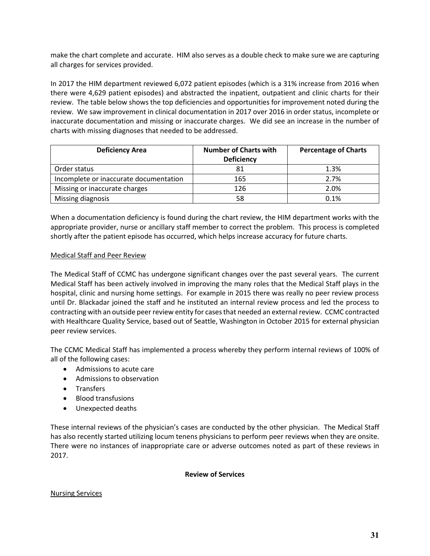make the chart complete and accurate. HIM also serves as a double check to make sure we are capturing all charges for services provided.

In 2017 the HIM department reviewed 6,072 patient episodes (which is a 31% increase from 2016 when there were 4,629 patient episodes) and abstracted the inpatient, outpatient and clinic charts for their review. The table below shows the top deficiencies and opportunities for improvement noted during the review. We saw improvement in clinical documentation in 2017 over 2016 in order status, incomplete or inaccurate documentation and missing or inaccurate charges. We did see an increase in the number of charts with missing diagnoses that needed to be addressed.

| <b>Deficiency Area</b>                 | <b>Number of Charts with</b><br><b>Deficiency</b> | <b>Percentage of Charts</b> |
|----------------------------------------|---------------------------------------------------|-----------------------------|
| Order status                           | 81                                                | 1.3%                        |
| Incomplete or inaccurate documentation | 165                                               | 2.7%                        |
| Missing or inaccurate charges          | 126                                               | 2.0%                        |
| Missing diagnosis                      | 58                                                | 0.1%                        |

When a documentation deficiency is found during the chart review, the HIM department works with the appropriate provider, nurse or ancillary staff member to correct the problem. This process is completed shortly after the patient episode has occurred, which helps increase accuracy for future charts.

#### Medical Staff and Peer Review

The Medical Staff of CCMC has undergone significant changes over the past several years. The current Medical Staff has been actively involved in improving the many roles that the Medical Staff plays in the hospital, clinic and nursing home settings. For example in 2015 there was really no peer review process until Dr. Blackadar joined the staff and he instituted an internal review process and led the process to contracting with an outside peer review entity for cases that needed an external review. CCMC contracted with Healthcare Quality Service, based out of Seattle, Washington in October 2015 for external physician peer review services.

The CCMC Medical Staff has implemented a process whereby they perform internal reviews of 100% of all of the following cases:

- Admissions to acute care
- Admissions to observation
- Transfers
- Blood transfusions
- Unexpected deaths

These internal reviews of the physician's cases are conducted by the other physician. The Medical Staff has also recently started utilizing locum tenens physicians to perform peer reviews when they are onsite. There were no instances of inappropriate care or adverse outcomes noted as part of these reviews in 2017.

#### **Review of Services**

#### Nursing Services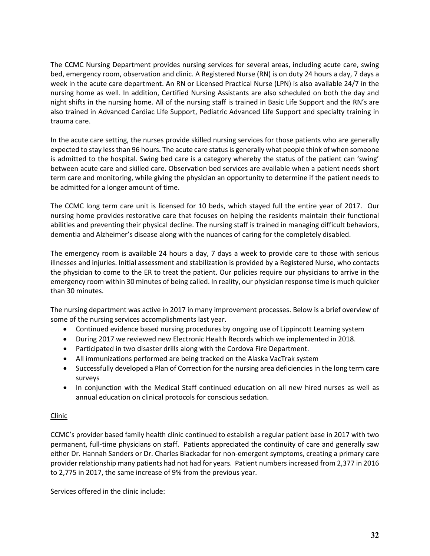The CCMC Nursing Department provides nursing services for several areas, including acute care, swing bed, emergency room, observation and clinic. A Registered Nurse (RN) is on duty 24 hours a day, 7 days a week in the acute care department. An RN or Licensed Practical Nurse (LPN) is also available 24/7 in the nursing home as well. In addition, Certified Nursing Assistants are also scheduled on both the day and night shifts in the nursing home. All of the nursing staff is trained in Basic Life Support and the RN's are also trained in Advanced Cardiac Life Support, Pediatric Advanced Life Support and specialty training in trauma care.

In the acute care setting, the nurses provide skilled nursing services for those patients who are generally expected to stay less than 96 hours. The acute care status is generally what people think of when someone is admitted to the hospital. Swing bed care is a category whereby the status of the patient can 'swing' between acute care and skilled care. Observation bed services are available when a patient needs short term care and monitoring, while giving the physician an opportunity to determine if the patient needs to be admitted for a longer amount of time.

The CCMC long term care unit is licensed for 10 beds, which stayed full the entire year of 2017. Our nursing home provides restorative care that focuses on helping the residents maintain their functional abilities and preventing their physical decline. The nursing staff is trained in managing difficult behaviors, dementia and Alzheimer's disease along with the nuances of caring for the completely disabled.

The emergency room is available 24 hours a day, 7 days a week to provide care to those with serious illnesses and injuries. Initial assessment and stabilization is provided by a Registered Nurse, who contacts the physician to come to the ER to treat the patient. Our policies require our physicians to arrive in the emergency room within 30 minutes of being called. In reality, our physician response time is much quicker than 30 minutes.

The nursing department was active in 2017 in many improvement processes. Below is a brief overview of some of the nursing services accomplishments last year.

- Continued evidence based nursing procedures by ongoing use of Lippincott Learning system
- During 2017 we reviewed new Electronic Health Records which we implemented in 2018.
- Participated in two disaster drills along with the Cordova Fire Department.
- All immunizations performed are being tracked on the Alaska VacTrak system
- Successfully developed a Plan of Correction for the nursing area deficiencies in the long term care surveys
- In conjunction with the Medical Staff continued education on all new hired nurses as well as annual education on clinical protocols for conscious sedation.

# Clinic

CCMC's provider based family health clinic continued to establish a regular patient base in 2017 with two permanent, full-time physicians on staff. Patients appreciated the continuity of care and generally saw either Dr. Hannah Sanders or Dr. Charles Blackadar for non-emergent symptoms, creating a primary care provider relationship many patients had not had for years. Patient numbers increased from 2,377 in 2016 to 2,775 in 2017, the same increase of 9% from the previous year.

Services offered in the clinic include: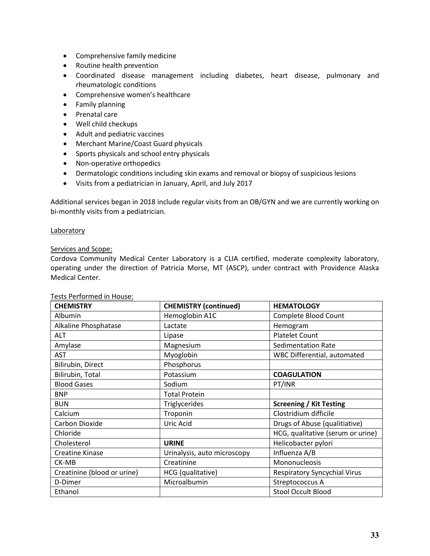- Comprehensive family medicine
- Routine health prevention
- Coordinated disease management including diabetes, heart disease, pulmonary and rheumatologic conditions
- Comprehensive women's healthcare
- **•** Family planning
- Prenatal care
- Well child checkups
- Adult and pediatric vaccines
- Merchant Marine/Coast Guard physicals
- Sports physicals and school entry physicals
- Non-operative orthopedics
- Dermatologic conditions including skin exams and removal or biopsy of suspicious lesions
- Visits from a pediatrician in January, April, and July 2017

Additional services began in 2018 include regular visits from an OB/GYN and we are currently working on bi-monthly visits from a pediatrician.

#### **Laboratory**

#### Services and Scope:

Cordova Community Medical Center Laboratory is a CLIA certified, moderate complexity laboratory, operating under the direction of Patricia Morse, MT (ASCP), under contract with Providence Alaska Medical Center.

| <b>CHEMISTRY</b>            | <b>CHEMISTRY (continued)</b> | <b>HEMATOLOGY</b>                   |
|-----------------------------|------------------------------|-------------------------------------|
| Albumin                     | Hemoglobin A1C               | Complete Blood Count                |
| Alkaline Phosphatase        | Lactate                      | Hemogram                            |
| ALT                         | Lipase                       | <b>Platelet Count</b>               |
| Amylase                     | Magnesium                    | <b>Sedimentation Rate</b>           |
| <b>AST</b>                  | Myoglobin                    | <b>WBC Differential, automated</b>  |
| Bilirubin, Direct           | Phosphorus                   |                                     |
| Bilirubin, Total            | Potassium                    | <b>COAGULATION</b>                  |
| <b>Blood Gases</b>          | Sodium                       | PT/INR                              |
| <b>BNP</b>                  | <b>Total Protein</b>         |                                     |
| <b>BUN</b>                  | <b>Triglycerides</b>         | <b>Screening / Kit Testing</b>      |
| Calcium                     | Troponin                     | Clostridium difficile               |
| Carbon Dioxide              | Uric Acid                    | Drugs of Abuse (qualitiative)       |
| Chloride                    |                              | HCG, qualitative (serum or urine)   |
| Cholesterol                 | <b>URINE</b>                 | Helicobacter pylori                 |
| <b>Creatine Kinase</b>      | Urinalysis, auto microscopy  | Influenza A/B                       |
| CK-MB                       | Creatinine                   | Mononucleosis                       |
| Creatinine (blood or urine) | HCG (qualitative)            | <b>Respiratory Syncychial Virus</b> |
| D-Dimer                     | Microalbumin                 | Streptococcus A                     |
| Ethanol                     |                              | <b>Stool Occult Blood</b>           |

#### Tests Performed in House: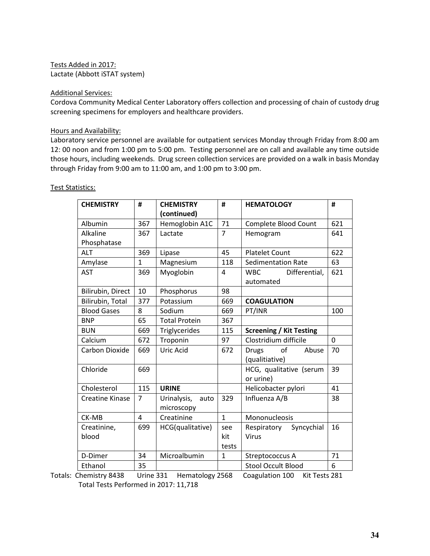Tests Added in 2017: Lactate (Abbott iSTAT system)

#### Additional Services:

Cordova Community Medical Center Laboratory offers collection and processing of chain of custody drug screening specimens for employers and healthcare providers.

#### Hours and Availability:

Laboratory service personnel are available for outpatient services Monday through Friday from 8:00 am 12: 00 noon and from 1:00 pm to 5:00 pm. Testing personnel are on call and available any time outside those hours, including weekends. Drug screen collection services are provided on a walk in basis Monday through Friday from 9:00 am to 11:00 am, and 1:00 pm to 3:00 pm.

| <b>CHEMISTRY</b>       | #              | <b>CHEMISTRY</b>     | #              | <b>HEMATOLOGY</b>              | #           |
|------------------------|----------------|----------------------|----------------|--------------------------------|-------------|
|                        |                | (continued)          |                |                                |             |
| Albumin                | 367            | Hemoglobin A1C       | 71             | Complete Blood Count           | 621         |
| Alkaline               | 367            | Lactate              | $\overline{7}$ | Hemogram                       | 641         |
| Phosphatase            |                |                      |                |                                |             |
| <b>ALT</b>             | 369            | Lipase               | 45             | <b>Platelet Count</b>          | 622         |
| Amylase                | $\mathbf{1}$   | Magnesium            | 118            | <b>Sedimentation Rate</b>      | 63          |
| <b>AST</b>             | 369            | Myoglobin            | 4              | <b>WBC</b><br>Differential,    | 621         |
|                        |                |                      |                | automated                      |             |
| Bilirubin, Direct      | 10             | Phosphorus           | 98             |                                |             |
| Bilirubin, Total       | 377            | Potassium            | 669            | <b>COAGULATION</b>             |             |
| <b>Blood Gases</b>     | 8              | Sodium               | 669            | PT/INR                         | 100         |
| <b>BNP</b>             | 65             | <b>Total Protein</b> | 367            |                                |             |
| <b>BUN</b>             | 669            | Triglycerides        | 115            | <b>Screening / Kit Testing</b> |             |
| Calcium                | 672            | Troponin             | 97             | Clostridium difficile          | $\mathbf 0$ |
| Carbon Dioxide         | 669            | Uric Acid            | 672            | of<br>Abuse<br><b>Drugs</b>    | 70          |
|                        |                |                      |                | (qualitiative)                 |             |
| Chloride               | 669            |                      |                | HCG, qualitative (serum        | 39          |
|                        |                |                      |                | or urine)                      |             |
| Cholesterol            | 115            | <b>URINE</b>         |                | Helicobacter pylori            | 41          |
| <b>Creatine Kinase</b> | 7              | Urinalysis,<br>auto  | 329            | Influenza A/B                  | 38          |
|                        |                | microscopy           |                |                                |             |
| CK-MB                  | $\overline{4}$ | Creatinine           | $\mathbf{1}$   | Mononucleosis                  |             |
| Creatinine,            | 699            | HCG(qualitative)     | see            | Respiratory<br>Syncychial      | 16          |
| blood                  |                |                      | kit            | Virus                          |             |
|                        |                |                      | tests          |                                |             |
| D-Dimer                | 34             | Microalbumin         | $\mathbf{1}$   | Streptococcus A                | 71          |
| Ethanol                | 35             |                      |                | <b>Stool Occult Blood</b>      | 6           |

#### Test Statistics:

Totals: Chemistry 8438 Urine 331 Hematology 2568 Coagulation 100 Kit Tests 281 Total Tests Performed in 2017: 11,718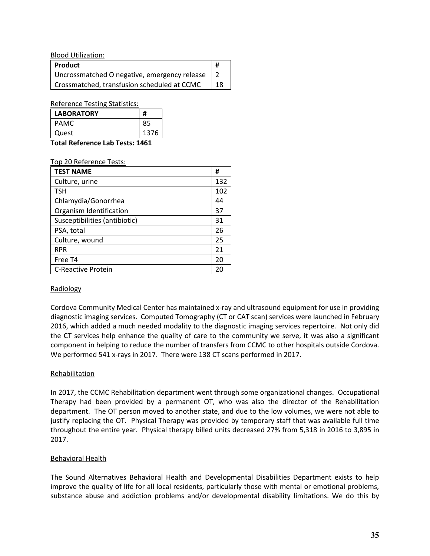Blood Utilization:

| Product                                      |    |
|----------------------------------------------|----|
| Uncrossmatched O negative, emergency release |    |
| Crossmatched, transfusion scheduled at CCMC  | 18 |

Reference Testing Statistics:

| <b>LABORATORY</b>               | #    |
|---------------------------------|------|
| <b>PAMC</b>                     | 85   |
| Quest                           | 1376 |
| Total Deference Leh Teste: 1461 |      |

**Total Reference Lab Tests: 1461** 

Top 20 Reference Tests:

| <b>TEST NAME</b>              | #   |
|-------------------------------|-----|
| Culture, urine                | 132 |
| <b>TSH</b>                    | 102 |
| Chlamydia/Gonorrhea           | 44  |
| Organism Identification       | 37  |
| Susceptibilities (antibiotic) | 31  |
| PSA, total                    | 26  |
| Culture, wound                | 25  |
| <b>RPR</b>                    | 21  |
| Free T <sub>4</sub>           | 20  |
| <b>C-Reactive Protein</b>     | 20  |

#### Radiology

Cordova Community Medical Center has maintained x-ray and ultrasound equipment for use in providing diagnostic imaging services. Computed Tomography (CT or CAT scan) services were launched in February 2016, which added a much needed modality to the diagnostic imaging services repertoire. Not only did the CT services help enhance the quality of care to the community we serve, it was also a significant component in helping to reduce the number of transfers from CCMC to other hospitals outside Cordova. We performed 541 x-rays in 2017. There were 138 CT scans performed in 2017.

#### **Rehabilitation**

In 2017, the CCMC Rehabilitation department went through some organizational changes. Occupational Therapy had been provided by a permanent OT, who was also the director of the Rehabilitation department. The OT person moved to another state, and due to the low volumes, we were not able to justify replacing the OT. Physical Therapy was provided by temporary staff that was available full time throughout the entire year. Physical therapy billed units decreased 27% from 5,318 in 2016 to 3,895 in 2017.

#### Behavioral Health

The Sound Alternatives Behavioral Health and Developmental Disabilities Department exists to help improve the quality of life for all local residents, particularly those with mental or emotional problems, substance abuse and addiction problems and/or developmental disability limitations. We do this by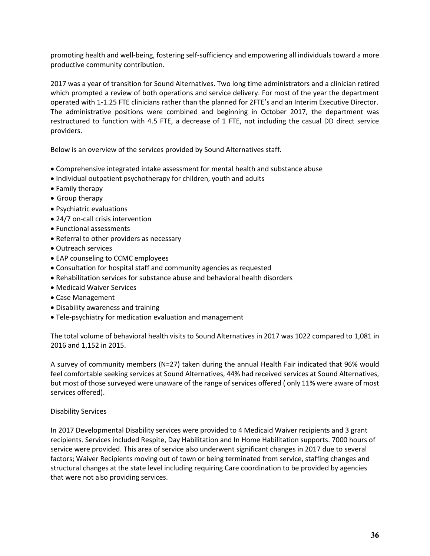promoting health and well-being, fostering self-sufficiency and empowering all individuals toward a more productive community contribution.

2017 was a year of transition for Sound Alternatives. Two long time administrators and a clinician retired which prompted a review of both operations and service delivery. For most of the year the department operated with 1-1.25 FTE clinicians rather than the planned for 2FTE's and an Interim Executive Director. The administrative positions were combined and beginning in October 2017, the department was restructured to function with 4.5 FTE, a decrease of 1 FTE, not including the casual DD direct service providers.

Below is an overview of the services provided by Sound Alternatives staff.

- Comprehensive integrated intake assessment for mental health and substance abuse
- Individual outpatient psychotherapy for children, youth and adults
- Family therapy
- Group therapy
- Psychiatric evaluations
- 24/7 on-call crisis intervention
- Functional assessments
- Referral to other providers as necessary
- Outreach services
- EAP counseling to CCMC employees
- Consultation for hospital staff and community agencies as requested
- Rehabilitation services for substance abuse and behavioral health disorders
- Medicaid Waiver Services
- Case Management
- Disability awareness and training
- Tele-psychiatry for medication evaluation and management

The total volume of behavioral health visits to Sound Alternatives in 2017 was 1022 compared to 1,081 in 2016 and 1,152 in 2015.

A survey of community members (N=27) taken during the annual Health Fair indicated that 96% would feel comfortable seeking services at Sound Alternatives, 44% had received services at Sound Alternatives, but most of those surveyed were unaware of the range of services offered ( only 11% were aware of most services offered).

#### Disability Services

In 2017 Developmental Disability services were provided to 4 Medicaid Waiver recipients and 3 grant recipients. Services included Respite, Day Habilitation and In Home Habilitation supports. 7000 hours of service were provided. This area of service also underwent significant changes in 2017 due to several factors; Waiver Recipients moving out of town or being terminated from service, staffing changes and structural changes at the state level including requiring Care coordination to be provided by agencies that were not also providing services.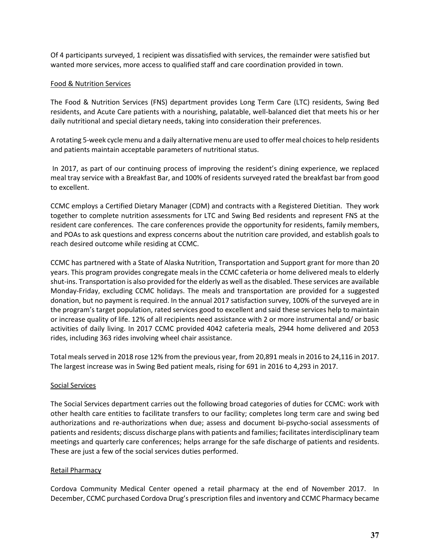Of 4 participants surveyed, 1 recipient was dissatisfied with services, the remainder were satisfied but wanted more services, more access to qualified staff and care coordination provided in town.

#### Food & Nutrition Services

The Food & Nutrition Services (FNS) department provides Long Term Care (LTC) residents, Swing Bed residents, and Acute Care patients with a nourishing, palatable, well-balanced diet that meets his or her daily nutritional and special dietary needs, taking into consideration their preferences.

A rotating 5-week cycle menu and a daily alternative menu are used to offer meal choices to help residents and patients maintain acceptable parameters of nutritional status.

In 2017, as part of our continuing process of improving the resident's dining experience, we replaced meal tray service with a Breakfast Bar, and 100% of residents surveyed rated the breakfast bar from good to excellent.

CCMC employs a Certified Dietary Manager (CDM) and contracts with a Registered Dietitian. They work together to complete nutrition assessments for LTC and Swing Bed residents and represent FNS at the resident care conferences. The care conferences provide the opportunity for residents, family members, and POAs to ask questions and express concerns about the nutrition care provided, and establish goals to reach desired outcome while residing at CCMC.

CCMC has partnered with a State of Alaska Nutrition, Transportation and Support grant for more than 20 years. This program provides congregate meals in the CCMC cafeteria or home delivered meals to elderly shut-ins. Transportation is also provided for the elderly as well as the disabled. These services are available Monday-Friday, excluding CCMC holidays. The meals and transportation are provided for a suggested donation, but no payment is required. In the annual 2017 satisfaction survey, 100% of the surveyed are in the program's target population, rated services good to excellent and said these services help to maintain or increase quality of life. 12% of all recipients need assistance with 2 or more instrumental and/ or basic activities of daily living. In 2017 CCMC provided 4042 cafeteria meals, 2944 home delivered and 2053 rides, including 363 rides involving wheel chair assistance.

Total meals served in 2018 rose 12% from the previous year, from 20,891 meals in 2016 to 24,116 in 2017. The largest increase was in Swing Bed patient meals, rising for 691 in 2016 to 4,293 in 2017.

#### Social Services

The Social Services department carries out the following broad categories of duties for CCMC: work with other health care entities to facilitate transfers to our facility; completes long term care and swing bed authorizations and re-authorizations when due; assess and document bi-psycho-social assessments of patients and residents; discuss discharge plans with patients and families; facilitates interdisciplinary team meetings and quarterly care conferences; helps arrange for the safe discharge of patients and residents. These are just a few of the social services duties performed.

# Retail Pharmacy

Cordova Community Medical Center opened a retail pharmacy at the end of November 2017. In December, CCMC purchased Cordova Drug's prescription files and inventory and CCMC Pharmacy became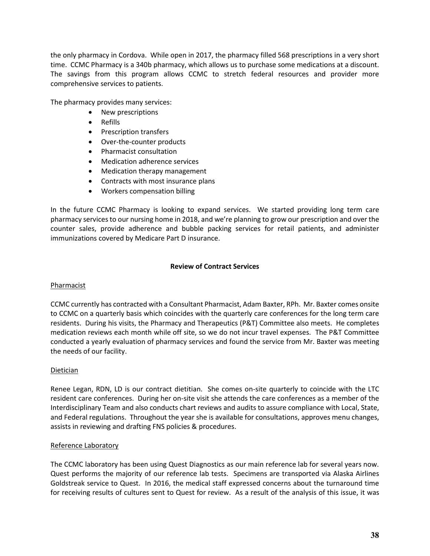the only pharmacy in Cordova. While open in 2017, the pharmacy filled 568 prescriptions in a very short time. CCMC Pharmacy is a 340b pharmacy, which allows us to purchase some medications at a discount. The savings from this program allows CCMC to stretch federal resources and provider more comprehensive services to patients.

The pharmacy provides many services:

- New prescriptions
- Refills
- Prescription transfers
- Over-the-counter products
- Pharmacist consultation
- Medication adherence services
- Medication therapy management
- Contracts with most insurance plans
- Workers compensation billing

In the future CCMC Pharmacy is looking to expand services. We started providing long term care pharmacy services to our nursing home in 2018, and we're planning to grow our prescription and over the counter sales, provide adherence and bubble packing services for retail patients, and administer immunizations covered by Medicare Part D insurance.

#### **Review of Contract Services**

#### Pharmacist

CCMC currently has contracted with a Consultant Pharmacist, Adam Baxter, RPh. Mr. Baxter comes onsite to CCMC on a quarterly basis which coincides with the quarterly care conferences for the long term care residents. During his visits, the Pharmacy and Therapeutics (P&T) Committee also meets. He completes medication reviews each month while off site, so we do not incur travel expenses. The P&T Committee conducted a yearly evaluation of pharmacy services and found the service from Mr. Baxter was meeting the needs of our facility.

#### Dietician

Renee Legan, RDN, LD is our contract dietitian. She comes on-site quarterly to coincide with the LTC resident care conferences. During her on-site visit she attends the care conferences as a member of the Interdisciplinary Team and also conducts chart reviews and audits to assure compliance with Local, State, and Federal regulations. Throughout the year she is available for consultations, approves menu changes, assists in reviewing and drafting FNS policies & procedures.

#### Reference Laboratory

The CCMC laboratory has been using Quest Diagnostics as our main reference lab for several years now. Quest performs the majority of our reference lab tests. Specimens are transported via Alaska Airlines Goldstreak service to Quest. In 2016, the medical staff expressed concerns about the turnaround time for receiving results of cultures sent to Quest for review. As a result of the analysis of this issue, it was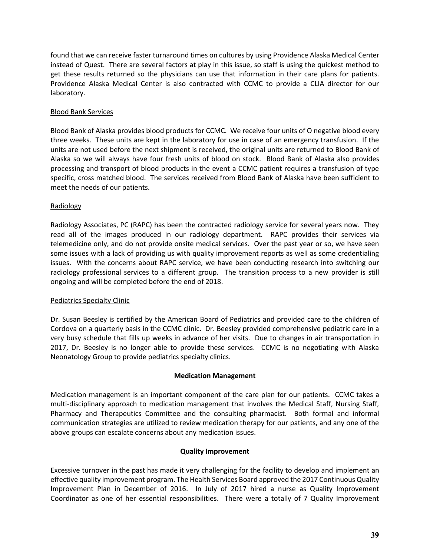found that we can receive faster turnaround times on cultures by using Providence Alaska Medical Center instead of Quest. There are several factors at play in this issue, so staff is using the quickest method to get these results returned so the physicians can use that information in their care plans for patients. Providence Alaska Medical Center is also contracted with CCMC to provide a CLIA director for our laboratory.

#### Blood Bank Services

Blood Bank of Alaska provides blood products for CCMC. We receive four units of O negative blood every three weeks. These units are kept in the laboratory for use in case of an emergency transfusion. If the units are not used before the next shipment is received, the original units are returned to Blood Bank of Alaska so we will always have four fresh units of blood on stock. Blood Bank of Alaska also provides processing and transport of blood products in the event a CCMC patient requires a transfusion of type specific, cross matched blood. The services received from Blood Bank of Alaska have been sufficient to meet the needs of our patients.

#### Radiology

Radiology Associates, PC (RAPC) has been the contracted radiology service for several years now. They read all of the images produced in our radiology department. RAPC provides their services via telemedicine only, and do not provide onsite medical services. Over the past year or so, we have seen some issues with a lack of providing us with quality improvement reports as well as some credentialing issues. With the concerns about RAPC service, we have been conducting research into switching our radiology professional services to a different group. The transition process to a new provider is still ongoing and will be completed before the end of 2018.

#### Pediatrics Specialty Clinic

Dr. Susan Beesley is certified by the American Board of Pediatrics and provided care to the children of Cordova on a quarterly basis in the CCMC clinic. Dr. Beesley provided comprehensive pediatric care in a very busy schedule that fills up weeks in advance of her visits. Due to changes in air transportation in 2017, Dr. Beesley is no longer able to provide these services. CCMC is no negotiating with Alaska Neonatology Group to provide pediatrics specialty clinics.

#### **Medication Management**

Medication management is an important component of the care plan for our patients. CCMC takes a multi-disciplinary approach to medication management that involves the Medical Staff, Nursing Staff, Pharmacy and Therapeutics Committee and the consulting pharmacist. Both formal and informal communication strategies are utilized to review medication therapy for our patients, and any one of the above groups can escalate concerns about any medication issues.

#### **Quality Improvement**

Excessive turnover in the past has made it very challenging for the facility to develop and implement an effective quality improvement program. The Health Services Board approved the 2017 Continuous Quality Improvement Plan in December of 2016. In July of 2017 hired a nurse as Quality Improvement Coordinator as one of her essential responsibilities. There were a totally of 7 Quality Improvement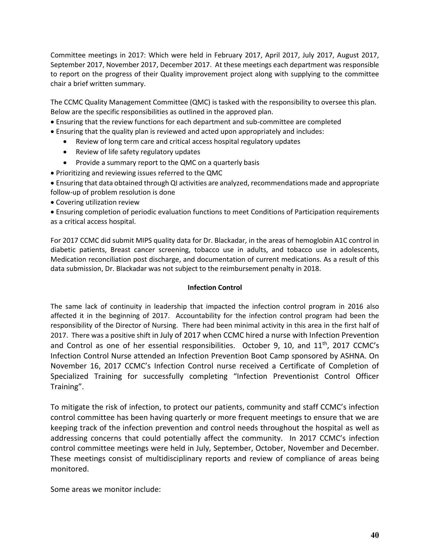Committee meetings in 2017: Which were held in February 2017, April 2017, July 2017, August 2017, September 2017, November 2017, December 2017. At these meetings each department was responsible to report on the progress of their Quality improvement project along with supplying to the committee chair a brief written summary.

The CCMC Quality Management Committee (QMC) is tasked with the responsibility to oversee this plan. Below are the specific responsibilities as outlined in the approved plan.

- Ensuring that the review functions for each department and sub-committee are completed
- Ensuring that the quality plan is reviewed and acted upon appropriately and includes:
	- Review of long term care and critical access hospital regulatory updates
	- Review of life safety regulatory updates
	- Provide a summary report to the QMC on a quarterly basis
- Prioritizing and reviewing issues referred to the QMC

Ensuring that data obtained through QI activities are analyzed, recommendations made and appropriate follow-up of problem resolution is done

Covering utilization review

Ensuring completion of periodic evaluation functions to meet Conditions of Participation requirements as a critical access hospital.

For 2017 CCMC did submit MIPS quality data for Dr. Blackadar, in the areas of hemoglobin A1C control in diabetic patients, Breast cancer screening, tobacco use in adults, and tobacco use in adolescents, Medication reconciliation post discharge, and documentation of current medications. As a result of this data submission, Dr. Blackadar was not subject to the reimbursement penalty in 2018.

#### **Infection Control**

The same lack of continuity in leadership that impacted the infection control program in 2016 also affected it in the beginning of 2017. Accountability for the infection control program had been the responsibility of the Director of Nursing. There had been minimal activity in this area in the first half of 2017. There was a positive shift in July of 2017 when CCMC hired a nurse with Infection Prevention and Control as one of her essential responsibilities. October 9, 10, and 11<sup>th</sup>, 2017 CCMC's Infection Control Nurse attended an Infection Prevention Boot Camp sponsored by ASHNA. On November 16, 2017 CCMC's Infection Control nurse received a Certificate of Completion of Specialized Training for successfully completing "Infection Preventionist Control Officer Training".

To mitigate the risk of infection, to protect our patients, community and staff CCMC's infection control committee has been having quarterly or more frequent meetings to ensure that we are keeping track of the infection prevention and control needs throughout the hospital as well as addressing concerns that could potentially affect the community. In 2017 CCMC's infection control committee meetings were held in July, September, October, November and December. These meetings consist of multidisciplinary reports and review of compliance of areas being monitored.

Some areas we monitor include: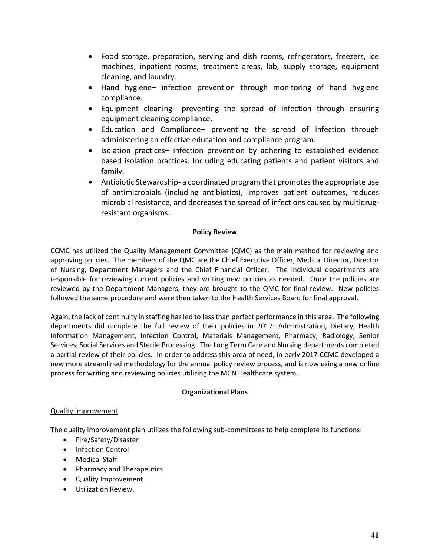- Food storage, preparation, serving and dish rooms, refrigerators, freezers, ice machines, inpatient rooms, treatment areas, lab, supply storage, equipment cleaning, and laundry.
- Hand hygiene– infection prevention through monitoring of hand hygiene compliance.
- Equipment cleaning– preventing the spread of infection through ensuring equipment cleaning compliance.
- Education and Compliance– preventing the spread of infection through administering an effective education and compliance program.
- Isolation practices- infection prevention by adhering to established evidence based isolation practices. Including educating patients and patient visitors and family.
- Antibiotic Stewardship**-** a coordinated program that promotes the appropriate use of antimicrobials (including antibiotics), improves patient outcomes, reduces microbial resistance, and decreases the spread of infections caused by multidrugresistant organisms.

# **Policy Review**

CCMC has utilized the Quality Management Committee (QMC) as the main method for reviewing and approving policies. The members of the QMC are the Chief Executive Officer, Medical Director, Director of Nursing, Department Managers and the Chief Financial Officer. The individual departments are responsible for reviewing current policies and writing new policies as needed. Once the policies are reviewed by the Department Managers, they are brought to the QMC for final review. New policies followed the same procedure and were then taken to the Health Services Board for final approval.

Again, the lack of continuity in staffing has led to less than perfect performance in this area. The following departments did complete the full review of their policies in 2017: Administration, Dietary, Health Information Management, Infection Control, Materials Management, Pharmacy, Radiology, Senior Services, Social Services and Sterile Processing. The Long Term Care and Nursing departments completed a partial review of their policies. In order to address this area of need, in early 2017 CCMC developed a new more streamlined methodology for the annual policy review process, and is now using a new online process for writing and reviewing policies utilizing the MCN Healthcare system.

#### **Organizational Plans**

#### Quality Improvement

The quality improvement plan utilizes the following sub-committees to help complete its functions:

- Fire/Safety/Disaster
- Infection Control
- Medical Staff
- Pharmacy and Therapeutics
- Quality Improvement
- Utilization Review.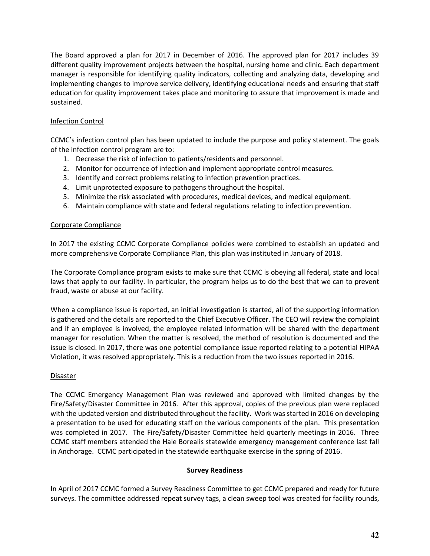The Board approved a plan for 2017 in December of 2016. The approved plan for 2017 includes 39 different quality improvement projects between the hospital, nursing home and clinic. Each department manager is responsible for identifying quality indicators, collecting and analyzing data, developing and implementing changes to improve service delivery, identifying educational needs and ensuring that staff education for quality improvement takes place and monitoring to assure that improvement is made and sustained.

# Infection Control

CCMC's infection control plan has been updated to include the purpose and policy statement. The goals of the infection control program are to:

- 1. Decrease the risk of infection to patients/residents and personnel.
- 2. Monitor for occurrence of infection and implement appropriate control measures.
- 3. Identify and correct problems relating to infection prevention practices.
- 4. Limit unprotected exposure to pathogens throughout the hospital.
- 5. Minimize the risk associated with procedures, medical devices, and medical equipment.
- 6. Maintain compliance with state and federal regulations relating to infection prevention.

# Corporate Compliance

In 2017 the existing CCMC Corporate Compliance policies were combined to establish an updated and more comprehensive Corporate Compliance Plan, this plan was instituted in January of 2018.

The Corporate Compliance program exists to make sure that CCMC is obeying all federal, state and local laws that apply to our facility. In particular, the program helps us to do the best that we can to prevent fraud, waste or abuse at our facility.

When a compliance issue is reported, an initial investigation is started, all of the supporting information is gathered and the details are reported to the Chief Executive Officer. The CEO will review the complaint and if an employee is involved, the employee related information will be shared with the department manager for resolution. When the matter is resolved, the method of resolution is documented and the issue is closed. In 2017, there was one potential compliance issue reported relating to a potential HIPAA Violation, it was resolved appropriately. This is a reduction from the two issues reported in 2016.

# Disaster

The CCMC Emergency Management Plan was reviewed and approved with limited changes by the Fire/Safety/Disaster Committee in 2016. After this approval, copies of the previous plan were replaced with the updated version and distributed throughout the facility. Work was started in 2016 on developing a presentation to be used for educating staff on the various components of the plan. This presentation was completed in 2017. The Fire/Safety/Disaster Committee held quarterly meetings in 2016. Three CCMC staff members attended the Hale Borealis statewide emergency management conference last fall in Anchorage. CCMC participated in the statewide earthquake exercise in the spring of 2016.

#### **Survey Readiness**

In April of 2017 CCMC formed a Survey Readiness Committee to get CCMC prepared and ready for future surveys. The committee addressed repeat survey tags, a clean sweep tool was created for facility rounds,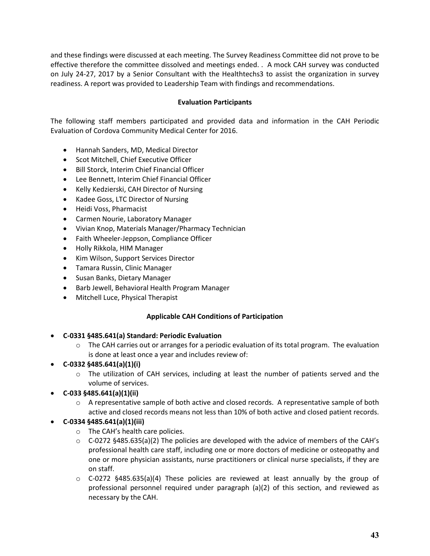and these findings were discussed at each meeting. The Survey Readiness Committee did not prove to be effective therefore the committee dissolved and meetings ended. . A mock CAH survey was conducted on July 24-27, 2017 by a Senior Consultant with the Healthtechs3 to assist the organization in survey readiness. A report was provided to Leadership Team with findings and recommendations.

# **Evaluation Participants**

The following staff members participated and provided data and information in the CAH Periodic Evaluation of Cordova Community Medical Center for 2016.

- Hannah Sanders, MD, Medical Director
- **•** Scot Mitchell, Chief Executive Officer
- Bill Storck, Interim Chief Financial Officer
- Lee Bennett, Interim Chief Financial Officer
- Kelly Kedzierski, CAH Director of Nursing
- Kadee Goss, LTC Director of Nursing
- Heidi Voss, Pharmacist
- Carmen Nourie, Laboratory Manager
- Vivian Knop, Materials Manager/Pharmacy Technician
- Faith Wheeler-Jeppson, Compliance Officer
- Holly Rikkola, HIM Manager
- Kim Wilson, Support Services Director
- Tamara Russin, Clinic Manager
- Susan Banks, Dietary Manager
- Barb Jewell, Behavioral Health Program Manager
- Mitchell Luce, Physical Therapist

# **Applicable CAH Conditions of Participation**

# **C-0331 §485.641(a) Standard: Periodic Evaluation**

- $\circ$  The CAH carries out or arranges for a periodic evaluation of its total program. The evaluation is done at least once a year and includes review of:
- **C-0332 §485.641(a)(1)(i)**
	- o The utilization of CAH services, including at least the number of patients served and the volume of services.
- **C-033 §485.641(a)(1)(ii)**
	- $\circ$  A representative sample of both active and closed records. A representative sample of both active and closed records means not less than 10% of both active and closed patient records.

# **C-0334 §485.641(a)(1)(iii)**

- o The CAH's health care policies.
- $\circ$  C-0272 §485.635(a)(2) The policies are developed with the advice of members of the CAH's professional health care staff, including one or more doctors of medicine or osteopathy and one or more physician assistants, nurse practitioners or clinical nurse specialists, if they are on staff.
- $\circ$  C-0272 §485.635(a)(4) These policies are reviewed at least annually by the group of professional personnel required under paragraph (a)(2) of this section, and reviewed as necessary by the CAH.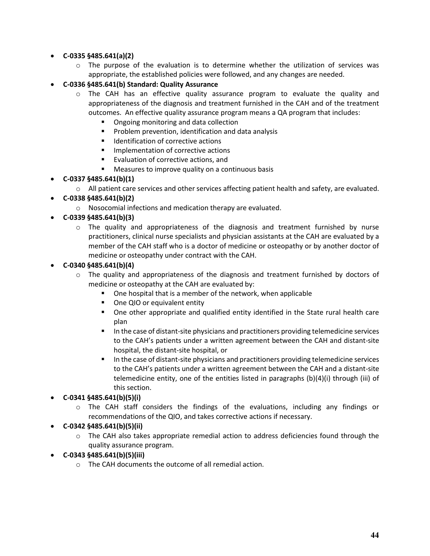# **C-0335 §485.641(a)(2)**

- $\circ$  The purpose of the evaluation is to determine whether the utilization of services was appropriate, the established policies were followed, and any changes are needed.
- **C-0336 §485.641(b) Standard: Quality Assurance**
	- $\circ$  The CAH has an effective quality assurance program to evaluate the quality and appropriateness of the diagnosis and treatment furnished in the CAH and of the treatment outcomes. An effective quality assurance program means a QA program that includes:
		- Ongoing monitoring and data collection
		- **Problem prevention, identification and data analysis**
		- Identification of corrective actions
		- **Implementation of corrective actions**
		- **Evaluation of corrective actions, and**
		- **Measures to improve quality on a continuous basis**

# **C-0337 §485.641(b)(1)**

- o All patient care services and other services affecting patient health and safety, are evaluated.
- **C-0338 §485.641(b)(2)**
	- o Nosocomial infections and medication therapy are evaluated.
- **C-0339 §485.641(b)(3)**
	- $\circ$  The quality and appropriateness of the diagnosis and treatment furnished by nurse practitioners, clinical nurse specialists and physician assistants at the CAH are evaluated by a member of the CAH staff who is a doctor of medicine or osteopathy or by another doctor of medicine or osteopathy under contract with the CAH.
- **C-0340 §485.641(b)(4)**
	- $\circ$  The quality and appropriateness of the diagnosis and treatment furnished by doctors of medicine or osteopathy at the CAH are evaluated by:
		- **•** One hospital that is a member of the network, when applicable
		- One QIO or equivalent entity
		- One other appropriate and qualified entity identified in the State rural health care plan
		- In the case of distant-site physicians and practitioners providing telemedicine services to the CAH's patients under a written agreement between the CAH and distant-site hospital, the distant-site hospital, or
		- In the case of distant-site physicians and practitioners providing telemedicine services to the CAH's patients under a written agreement between the CAH and a distant-site telemedicine entity, one of the entities listed in paragraphs  $(b)(4)(i)$  through (iii) of this section.

# **C-0341 §485.641(b)(5)(i)**

 $\circ$  The CAH staff considers the findings of the evaluations, including any findings or recommendations of the QIO, and takes corrective actions if necessary.

# **C-0342 §485.641(b)(5)(ii)**

 $\circ$  The CAH also takes appropriate remedial action to address deficiencies found through the quality assurance program.

# **C-0343 §485.641(b)(5)(iii)**

o The CAH documents the outcome of all remedial action.